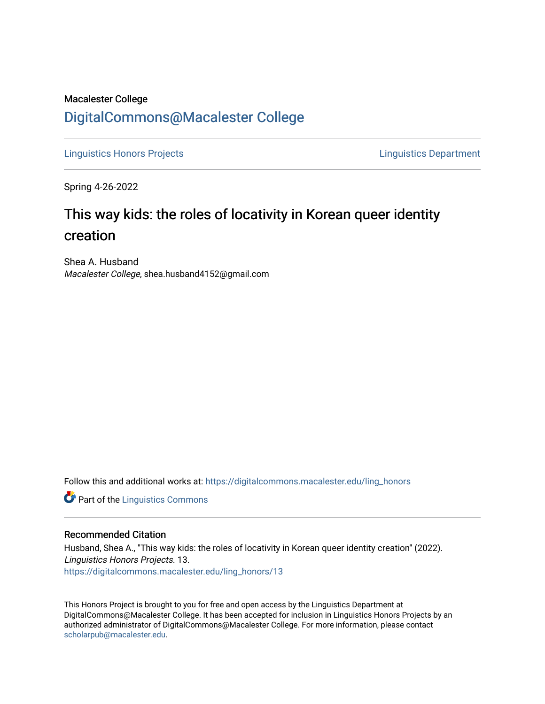## Macalester College [DigitalCommons@Macalester College](https://digitalcommons.macalester.edu/)

[Linguistics Honors Projects](https://digitalcommons.macalester.edu/ling_honors) [Linguistics Department](https://digitalcommons.macalester.edu/linguistics) 

Spring 4-26-2022

# This way kids: the roles of locativity in Korean queer identity creation

Shea A. Husband Macalester College, shea.husband4152@gmail.com

Follow this and additional works at: [https://digitalcommons.macalester.edu/ling\\_honors](https://digitalcommons.macalester.edu/ling_honors?utm_source=digitalcommons.macalester.edu%2Fling_honors%2F13&utm_medium=PDF&utm_campaign=PDFCoverPages) 

**Part of the Linguistics Commons** 

### Recommended Citation

Husband, Shea A., "This way kids: the roles of locativity in Korean queer identity creation" (2022). Linguistics Honors Projects. 13. [https://digitalcommons.macalester.edu/ling\\_honors/13](https://digitalcommons.macalester.edu/ling_honors/13?utm_source=digitalcommons.macalester.edu%2Fling_honors%2F13&utm_medium=PDF&utm_campaign=PDFCoverPages)

This Honors Project is brought to you for free and open access by the Linguistics Department at DigitalCommons@Macalester College. It has been accepted for inclusion in Linguistics Honors Projects by an authorized administrator of DigitalCommons@Macalester College. For more information, please contact [scholarpub@macalester.edu](mailto:scholarpub@macalester.edu).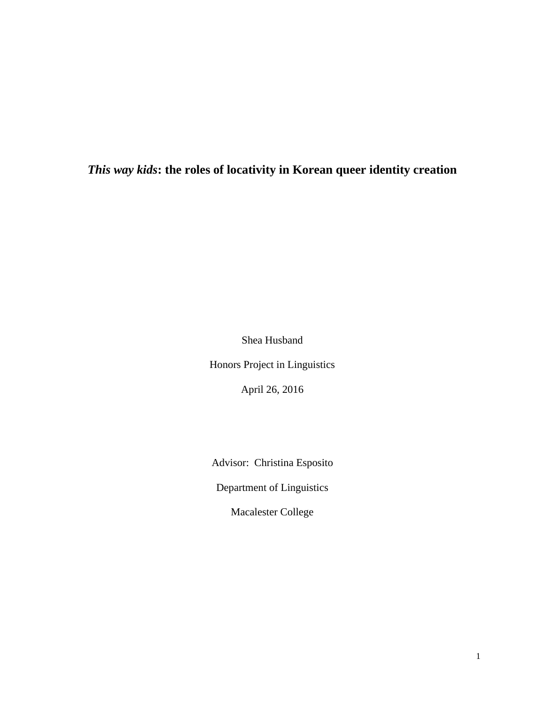## *This way kids***: the roles of locativity in Korean queer identity creation**

Shea Husband

Honors Project in Linguistics

April 26, 2016

Advisor: Christina Esposito

Department of Linguistics

Macalester College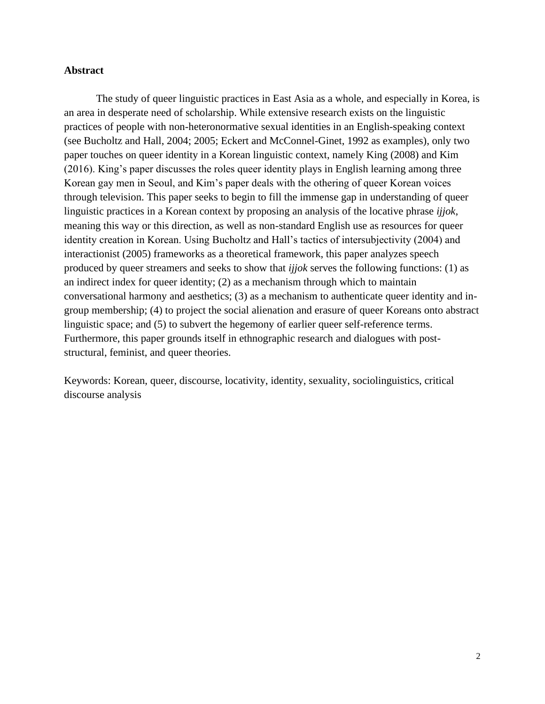#### **Abstract**

The study of queer linguistic practices in East Asia as a whole, and especially in Korea, is an area in desperate need of scholarship. While extensive research exists on the linguistic practices of people with non-heteronormative sexual identities in an English-speaking context (see Bucholtz and Hall, 2004; 2005; Eckert and McConnel-Ginet, 1992 as examples), only two paper touches on queer identity in a Korean linguistic context, namely King (2008) and Kim (2016). King's paper discusses the roles queer identity plays in English learning among three Korean gay men in Seoul, and Kim's paper deals with the othering of queer Korean voices through television. This paper seeks to begin to fill the immense gap in understanding of queer linguistic practices in a Korean context by proposing an analysis of the locative phrase *ijjok*, meaning this way or this direction, as well as non-standard English use as resources for queer identity creation in Korean. Using Bucholtz and Hall's tactics of intersubjectivity (2004) and interactionist (2005) frameworks as a theoretical framework, this paper analyzes speech produced by queer streamers and seeks to show that *ijjok* serves the following functions: (1) as an indirect index for queer identity; (2) as a mechanism through which to maintain conversational harmony and aesthetics; (3) as a mechanism to authenticate queer identity and ingroup membership; (4) to project the social alienation and erasure of queer Koreans onto abstract linguistic space; and (5) to subvert the hegemony of earlier queer self-reference terms. Furthermore, this paper grounds itself in ethnographic research and dialogues with poststructural, feminist, and queer theories.

Keywords: Korean, queer, discourse, locativity, identity, sexuality, sociolinguistics, critical discourse analysis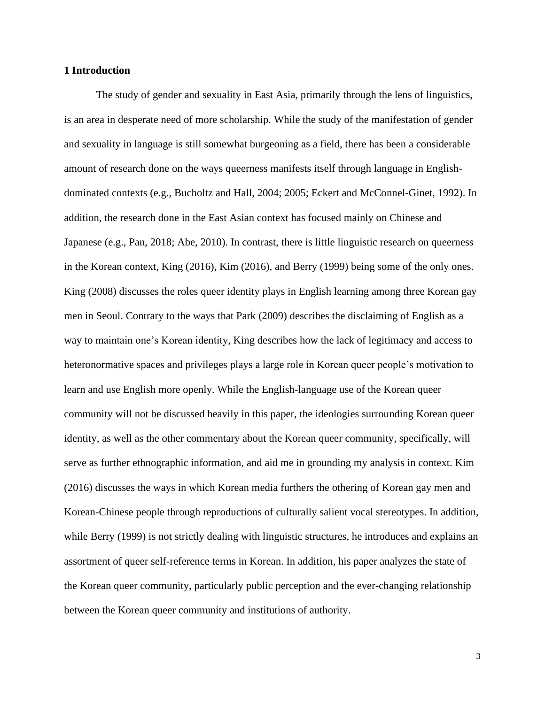#### **1 Introduction**

The study of gender and sexuality in East Asia, primarily through the lens of linguistics, is an area in desperate need of more scholarship. While the study of the manifestation of gender and sexuality in language is still somewhat burgeoning as a field, there has been a considerable amount of research done on the ways queerness manifests itself through language in Englishdominated contexts (e.g., Bucholtz and Hall, 2004; 2005; Eckert and McConnel-Ginet, 1992). In addition, the research done in the East Asian context has focused mainly on Chinese and Japanese (e.g., Pan, 2018; Abe, 2010). In contrast, there is little linguistic research on queerness in the Korean context, King (2016), Kim (2016), and Berry (1999) being some of the only ones. King (2008) discusses the roles queer identity plays in English learning among three Korean gay men in Seoul. Contrary to the ways that Park (2009) describes the disclaiming of English as a way to maintain one's Korean identity, King describes how the lack of legitimacy and access to heteronormative spaces and privileges plays a large role in Korean queer people's motivation to learn and use English more openly. While the English-language use of the Korean queer community will not be discussed heavily in this paper, the ideologies surrounding Korean queer identity, as well as the other commentary about the Korean queer community, specifically, will serve as further ethnographic information, and aid me in grounding my analysis in context. Kim (2016) discusses the ways in which Korean media furthers the othering of Korean gay men and Korean-Chinese people through reproductions of culturally salient vocal stereotypes. In addition, while Berry (1999) is not strictly dealing with linguistic structures, he introduces and explains an assortment of queer self-reference terms in Korean. In addition, his paper analyzes the state of the Korean queer community, particularly public perception and the ever-changing relationship between the Korean queer community and institutions of authority.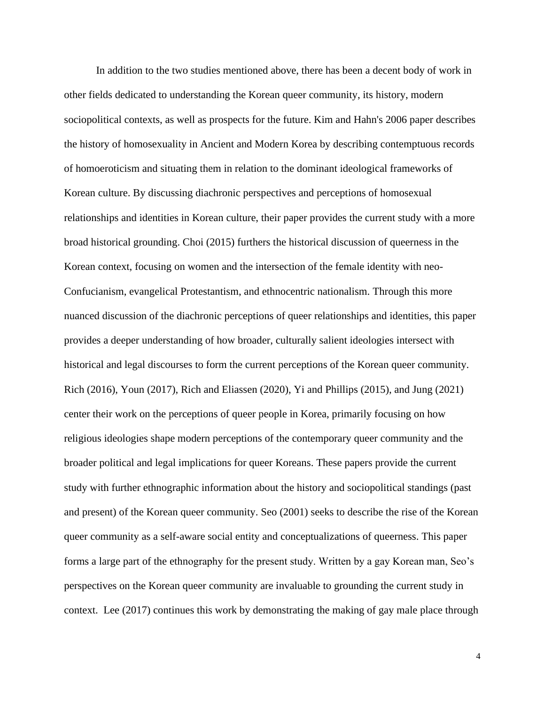In addition to the two studies mentioned above, there has been a decent body of work in other fields dedicated to understanding the Korean queer community, its history, modern sociopolitical contexts, as well as prospects for the future. Kim and Hahn's 2006 paper describes the history of homosexuality in Ancient and Modern Korea by describing contemptuous records of homoeroticism and situating them in relation to the dominant ideological frameworks of Korean culture. By discussing diachronic perspectives and perceptions of homosexual relationships and identities in Korean culture, their paper provides the current study with a more broad historical grounding. Choi (2015) furthers the historical discussion of queerness in the Korean context, focusing on women and the intersection of the female identity with neo-Confucianism, evangelical Protestantism, and ethnocentric nationalism. Through this more nuanced discussion of the diachronic perceptions of queer relationships and identities, this paper provides a deeper understanding of how broader, culturally salient ideologies intersect with historical and legal discourses to form the current perceptions of the Korean queer community. Rich (2016), Youn (2017), Rich and Eliassen (2020), Yi and Phillips (2015), and Jung (2021) center their work on the perceptions of queer people in Korea, primarily focusing on how religious ideologies shape modern perceptions of the contemporary queer community and the broader political and legal implications for queer Koreans. These papers provide the current study with further ethnographic information about the history and sociopolitical standings (past and present) of the Korean queer community. Seo (2001) seeks to describe the rise of the Korean queer community as a self-aware social entity and conceptualizations of queerness. This paper forms a large part of the ethnography for the present study. Written by a gay Korean man, Seo's perspectives on the Korean queer community are invaluable to grounding the current study in context. Lee (2017) continues this work by demonstrating the making of gay male place through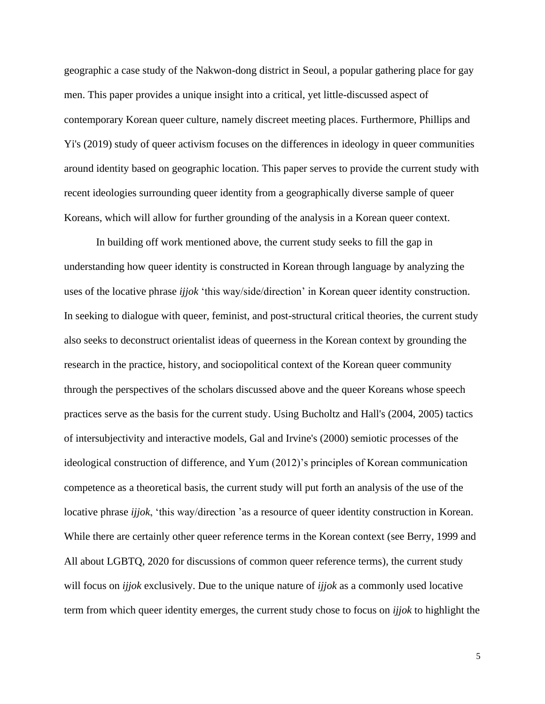geographic a case study of the Nakwon-dong district in Seoul, a popular gathering place for gay men. This paper provides a unique insight into a critical, yet little-discussed aspect of contemporary Korean queer culture, namely discreet meeting places. Furthermore, Phillips and Yi's (2019) study of queer activism focuses on the differences in ideology in queer communities around identity based on geographic location. This paper serves to provide the current study with recent ideologies surrounding queer identity from a geographically diverse sample of queer Koreans, which will allow for further grounding of the analysis in a Korean queer context.

 In building off work mentioned above, the current study seeks to fill the gap in understanding how queer identity is constructed in Korean through language by analyzing the uses of the locative phrase *ijjok* 'this way/side/direction' in Korean queer identity construction. In seeking to dialogue with queer, feminist, and post-structural critical theories, the current study also seeks to deconstruct orientalist ideas of queerness in the Korean context by grounding the research in the practice, history, and sociopolitical context of the Korean queer community through the perspectives of the scholars discussed above and the queer Koreans whose speech practices serve as the basis for the current study. Using Bucholtz and Hall's (2004, 2005) tactics of intersubjectivity and interactive models, Gal and Irvine's (2000) semiotic processes of the ideological construction of difference, and Yum (2012)'s principles of Korean communication competence as a theoretical basis, the current study will put forth an analysis of the use of the locative phrase *ijjok*, 'this way/direction 'as a resource of queer identity construction in Korean. While there are certainly other queer reference terms in the Korean context (see Berry, 1999 and All about LGBTQ, 2020 for discussions of common queer reference terms), the current study will focus on *ijjok* exclusively. Due to the unique nature of *ijjok* as a commonly used locative term from which queer identity emerges, the current study chose to focus on *ijjok* to highlight the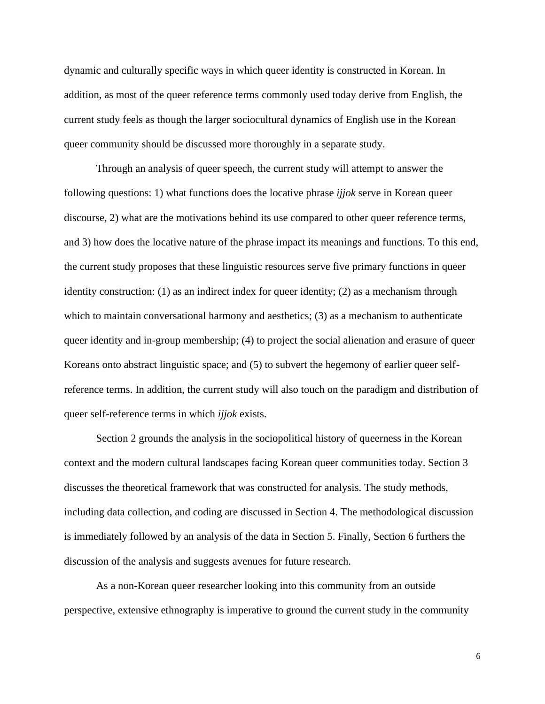dynamic and culturally specific ways in which queer identity is constructed in Korean. In addition, as most of the queer reference terms commonly used today derive from English, the current study feels as though the larger sociocultural dynamics of English use in the Korean queer community should be discussed more thoroughly in a separate study.

Through an analysis of queer speech, the current study will attempt to answer the following questions: 1) what functions does the locative phrase *ijjok* serve in Korean queer discourse, 2) what are the motivations behind its use compared to other queer reference terms, and 3) how does the locative nature of the phrase impact its meanings and functions. To this end, the current study proposes that these linguistic resources serve five primary functions in queer identity construction: (1) as an indirect index for queer identity; (2) as a mechanism through which to maintain conversational harmony and aesthetics; (3) as a mechanism to authenticate queer identity and in-group membership; (4) to project the social alienation and erasure of queer Koreans onto abstract linguistic space; and (5) to subvert the hegemony of earlier queer selfreference terms. In addition, the current study will also touch on the paradigm and distribution of queer self-reference terms in which *ijjok* exists.

Section 2 grounds the analysis in the sociopolitical history of queerness in the Korean context and the modern cultural landscapes facing Korean queer communities today. Section 3 discusses the theoretical framework that was constructed for analysis. The study methods, including data collection, and coding are discussed in Section 4. The methodological discussion is immediately followed by an analysis of the data in Section 5. Finally, Section 6 furthers the discussion of the analysis and suggests avenues for future research.

As a non-Korean queer researcher looking into this community from an outside perspective, extensive ethnography is imperative to ground the current study in the community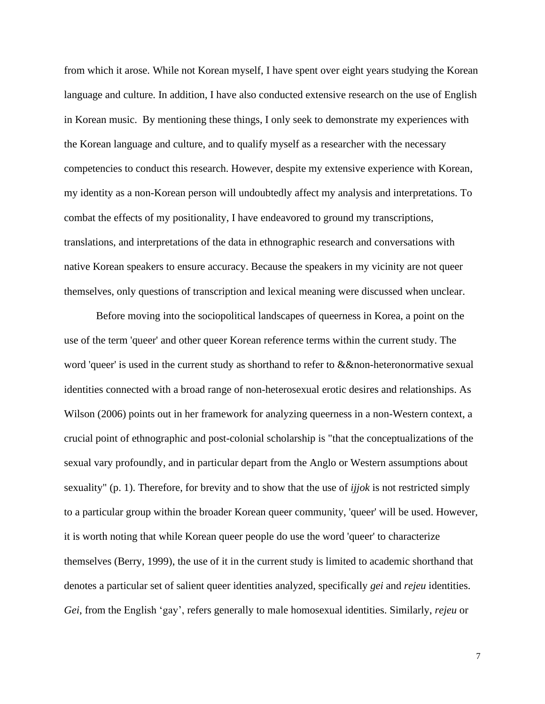from which it arose. While not Korean myself, I have spent over eight years studying the Korean language and culture. In addition, I have also conducted extensive research on the use of English in Korean music. By mentioning these things, I only seek to demonstrate my experiences with the Korean language and culture, and to qualify myself as a researcher with the necessary competencies to conduct this research. However, despite my extensive experience with Korean, my identity as a non-Korean person will undoubtedly affect my analysis and interpretations. To combat the effects of my positionality, I have endeavored to ground my transcriptions, translations, and interpretations of the data in ethnographic research and conversations with native Korean speakers to ensure accuracy. Because the speakers in my vicinity are not queer themselves, only questions of transcription and lexical meaning were discussed when unclear.

Before moving into the sociopolitical landscapes of queerness in Korea, a point on the use of the term 'queer' and other queer Korean reference terms within the current study. The word 'queer' is used in the current study as shorthand to refer to &&non-heteronormative sexual identities connected with a broad range of non-heterosexual erotic desires and relationships. As Wilson (2006) points out in her framework for analyzing queerness in a non-Western context, a crucial point of ethnographic and post-colonial scholarship is "that the conceptualizations of the sexual vary profoundly, and in particular depart from the Anglo or Western assumptions about sexuality" (p. 1). Therefore, for brevity and to show that the use of *ijjok* is not restricted simply to a particular group within the broader Korean queer community, 'queer' will be used. However, it is worth noting that while Korean queer people do use the word 'queer' to characterize themselves (Berry, 1999), the use of it in the current study is limited to academic shorthand that denotes a particular set of salient queer identities analyzed, specifically *gei* and *rejeu* identities. *Gei*, from the English 'gay', refers generally to male homosexual identities. Similarly, *rejeu* or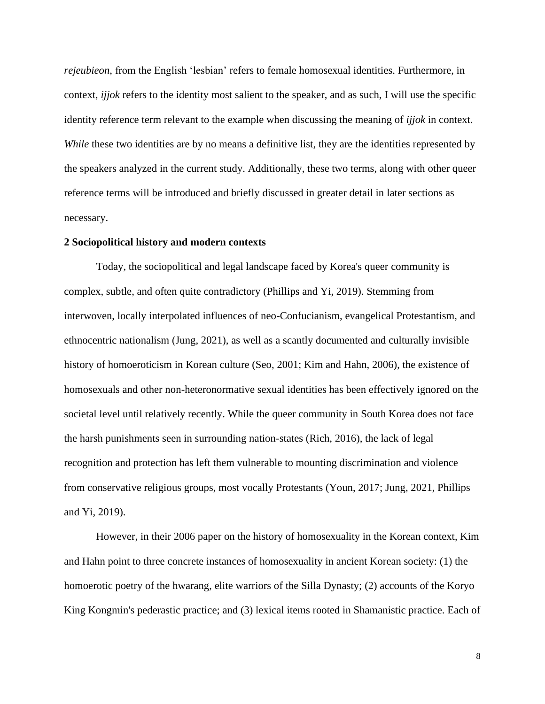*rejeubieon*, from the English 'lesbian' refers to female homosexual identities. Furthermore, in context, *ijjok* refers to the identity most salient to the speaker, and as such, I will use the specific identity reference term relevant to the example when discussing the meaning of *ijjok* in context. *While* these two identities are by no means a definitive list, they are the identities represented by the speakers analyzed in the current study. Additionally, these two terms, along with other queer reference terms will be introduced and briefly discussed in greater detail in later sections as necessary.

#### **2 Sociopolitical history and modern contexts**

Today, the sociopolitical and legal landscape faced by Korea's queer community is complex, subtle, and often quite contradictory (Phillips and Yi, 2019). Stemming from interwoven, locally interpolated influences of neo-Confucianism, evangelical Protestantism, and ethnocentric nationalism (Jung, 2021), as well as a scantly documented and culturally invisible history of homoeroticism in Korean culture (Seo, 2001; Kim and Hahn, 2006), the existence of homosexuals and other non-heteronormative sexual identities has been effectively ignored on the societal level until relatively recently. While the queer community in South Korea does not face the harsh punishments seen in surrounding nation-states (Rich, 2016), the lack of legal recognition and protection has left them vulnerable to mounting discrimination and violence from conservative religious groups, most vocally Protestants (Youn, 2017; Jung, 2021, Phillips and Yi, 2019).

However, in their 2006 paper on the history of homosexuality in the Korean context, Kim and Hahn point to three concrete instances of homosexuality in ancient Korean society: (1) the homoerotic poetry of the hwarang, elite warriors of the Silla Dynasty; (2) accounts of the Koryo King Kongmin's pederastic practice; and (3) lexical items rooted in Shamanistic practice. Each of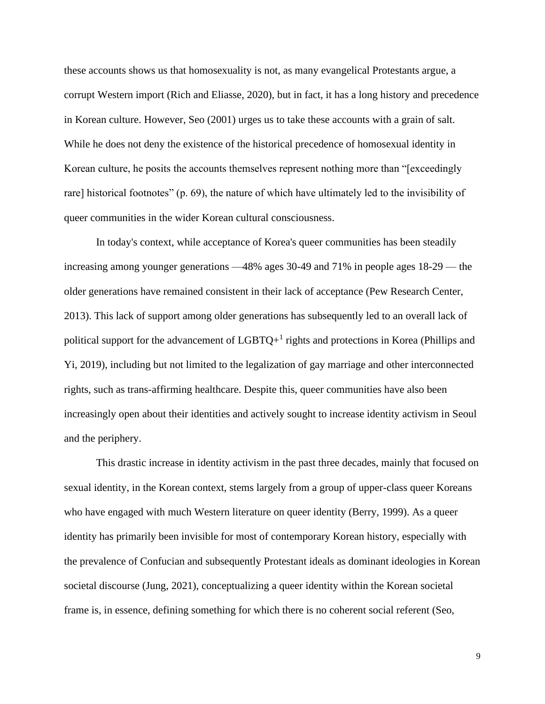these accounts shows us that homosexuality is not, as many evangelical Protestants argue, a corrupt Western import (Rich and Eliasse, 2020), but in fact, it has a long history and precedence in Korean culture. However, Seo (2001) urges us to take these accounts with a grain of salt. While he does not deny the existence of the historical precedence of homosexual identity in Korean culture, he posits the accounts themselves represent nothing more than "[exceedingly rare] historical footnotes" (p. 69), the nature of which have ultimately led to the invisibility of queer communities in the wider Korean cultural consciousness.

In today's context, while acceptance of Korea's queer communities has been steadily increasing among younger generations —48% ages 30-49 and 71% in people ages 18-29 — the older generations have remained consistent in their lack of acceptance (Pew Research Center, 2013). This lack of support among older generations has subsequently led to an overall lack of political support for the advancement of  $LGBTQ+^1$  rights and protections in Korea (Phillips and Yi, 2019), including but not limited to the legalization of gay marriage and other interconnected rights, such as trans-affirming healthcare. Despite this, queer communities have also been increasingly open about their identities and actively sought to increase identity activism in Seoul and the periphery.

This drastic increase in identity activism in the past three decades, mainly that focused on sexual identity, in the Korean context, stems largely from a group of upper-class queer Koreans who have engaged with much Western literature on queer identity (Berry, 1999). As a queer identity has primarily been invisible for most of contemporary Korean history, especially with the prevalence of Confucian and subsequently Protestant ideals as dominant ideologies in Korean societal discourse (Jung, 2021), conceptualizing a queer identity within the Korean societal frame is, in essence, defining something for which there is no coherent social referent (Seo,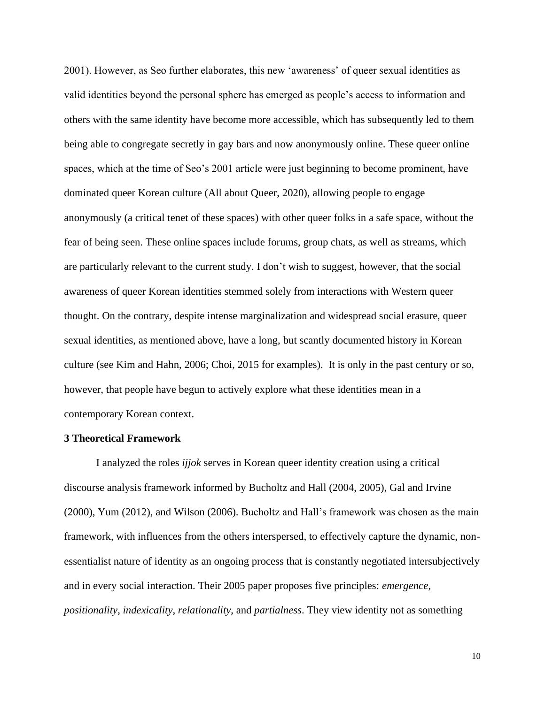2001). However, as Seo further elaborates, this new 'awareness' of queer sexual identities as valid identities beyond the personal sphere has emerged as people's access to information and others with the same identity have become more accessible, which has subsequently led to them being able to congregate secretly in gay bars and now anonymously online. These queer online spaces, which at the time of Seo's 2001 article were just beginning to become prominent, have dominated queer Korean culture (All about Queer, 2020), allowing people to engage anonymously (a critical tenet of these spaces) with other queer folks in a safe space, without the fear of being seen. These online spaces include forums, group chats, as well as streams, which are particularly relevant to the current study. I don't wish to suggest, however, that the social awareness of queer Korean identities stemmed solely from interactions with Western queer thought. On the contrary, despite intense marginalization and widespread social erasure, queer sexual identities, as mentioned above, have a long, but scantly documented history in Korean culture (see Kim and Hahn, 2006; Choi, 2015 for examples). It is only in the past century or so, however, that people have begun to actively explore what these identities mean in a contemporary Korean context.

#### **3 Theoretical Framework**

 I analyzed the roles *ijjok* serves in Korean queer identity creation using a critical discourse analysis framework informed by Bucholtz and Hall (2004, 2005), Gal and Irvine (2000), Yum (2012), and Wilson (2006). Bucholtz and Hall's framework was chosen as the main framework, with influences from the others interspersed, to effectively capture the dynamic, nonessentialist nature of identity as an ongoing process that is constantly negotiated intersubjectively and in every social interaction. Their 2005 paper proposes five principles: *emergence*, *positionality*, *indexicality*, *relationality*, and *partialness*. They view identity not as something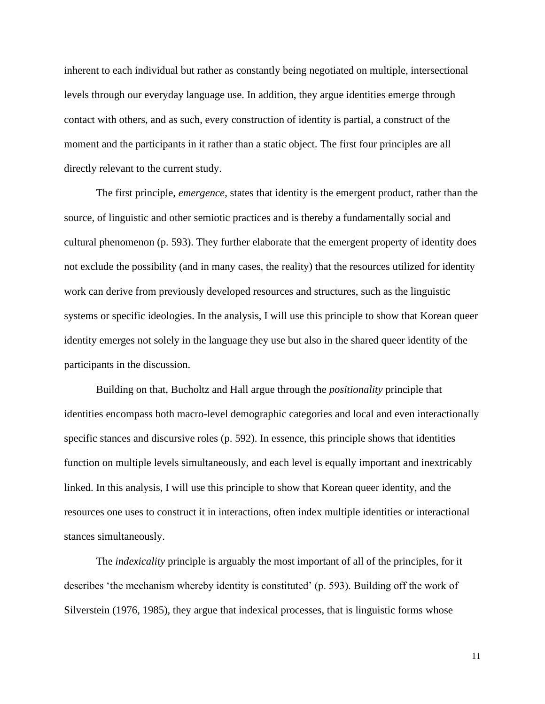inherent to each individual but rather as constantly being negotiated on multiple, intersectional levels through our everyday language use. In addition, they argue identities emerge through contact with others, and as such, every construction of identity is partial, a construct of the moment and the participants in it rather than a static object. The first four principles are all directly relevant to the current study.

The first principle, *emergence*, states that identity is the emergent product, rather than the source, of linguistic and other semiotic practices and is thereby a fundamentally social and cultural phenomenon (p. 593). They further elaborate that the emergent property of identity does not exclude the possibility (and in many cases, the reality) that the resources utilized for identity work can derive from previously developed resources and structures, such as the linguistic systems or specific ideologies. In the analysis, I will use this principle to show that Korean queer identity emerges not solely in the language they use but also in the shared queer identity of the participants in the discussion.

Building on that, Bucholtz and Hall argue through the *positionality* principle that identities encompass both macro-level demographic categories and local and even interactionally specific stances and discursive roles (p. 592). In essence, this principle shows that identities function on multiple levels simultaneously, and each level is equally important and inextricably linked. In this analysis, I will use this principle to show that Korean queer identity, and the resources one uses to construct it in interactions, often index multiple identities or interactional stances simultaneously.

The *indexicality* principle is arguably the most important of all of the principles, for it describes 'the mechanism whereby identity is constituted' (p. 593). Building off the work of Silverstein (1976, 1985), they argue that indexical processes, that is linguistic forms whose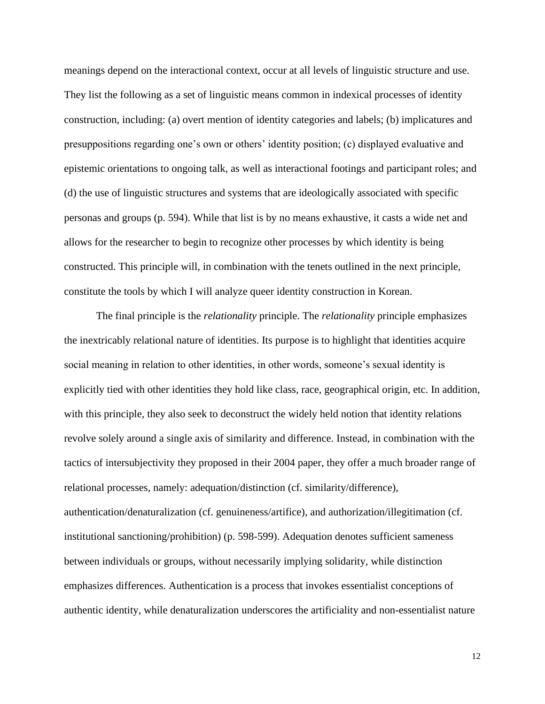meanings depend on the interactional context, occur at all levels of linguistic structure and use. They list the following as a set of linguistic means common in indexical processes of identity construction, including: (a) overt mention of identity categories and labels; (b) implicatures and presuppositions regarding one's own or others' identity position; (c) displayed evaluative and epistemic orientations to ongoing talk, as well as interactional footings and participant roles; and (d) the use of linguistic structures and systems that are ideologically associated with specific personas and groups (p. 594). While that list is by no means exhaustive, it casts a wide net and allows for the researcher to begin to recognize other processes by which identity is being constructed. This principle will, in combination with the tenets outlined in the next principle, constitute the tools by which I will analyze queer identity construction in Korean.

The final principle is the *relationality* principle. The *relationality* principle emphasizes the inextricably relational nature of identities. Its purpose is to highlight that identities acquire social meaning in relation to other identities, in other words, someone's sexual identity is explicitly tied with other identities they hold like class, race, geographical origin, etc. In addition, with this principle, they also seek to deconstruct the widely held notion that identity relations revolve solely around a single axis of similarity and difference. Instead, in combination with the tactics of intersubjectivity they proposed in their 2004 paper, they offer a much broader range of relational processes, namely: adequation/distinction (cf. similarity/difference), authentication/denaturalization (cf. genuineness/artifice), and authorization/illegitimation (cf. institutional sanctioning/prohibition) (p. 598-599). Adequation denotes sufficient sameness between individuals or groups, without necessarily implying solidarity, while distinction emphasizes differences. Authentication is a process that invokes essentialist conceptions of authentic identity, while denaturalization underscores the artificiality and non-essentialist nature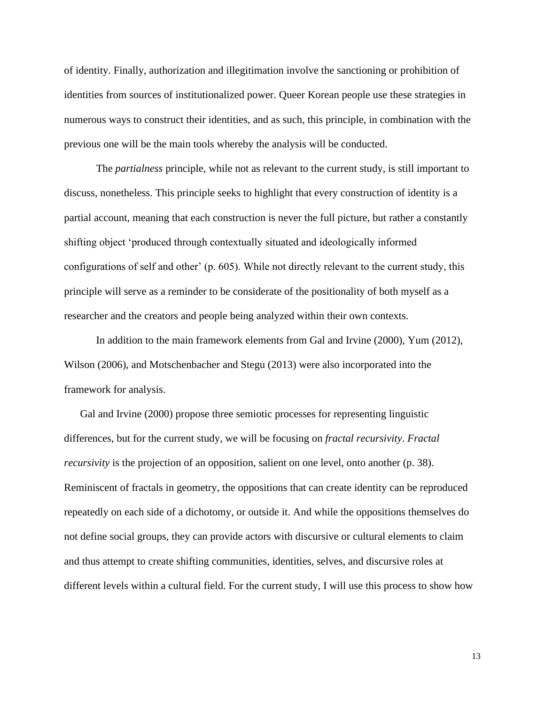of identity. Finally, authorization and illegitimation involve the sanctioning or prohibition of identities from sources of institutionalized power. Queer Korean people use these strategies in numerous ways to construct their identities, and as such, this principle, in combination with the previous one will be the main tools whereby the analysis will be conducted.

The *partialness* principle, while not as relevant to the current study, is still important to discuss, nonetheless. This principle seeks to highlight that every construction of identity is a partial account, meaning that each construction is never the full picture, but rather a constantly shifting object 'produced through contextually situated and ideologically informed configurations of self and other' (p. 605). While not directly relevant to the current study, this principle will serve as a reminder to be considerate of the positionality of both myself as a researcher and the creators and people being analyzed within their own contexts.

In addition to the main framework elements from Gal and Irvine (2000), Yum (2012), Wilson (2006), and Motschenbacher and Stegu (2013) were also incorporated into the framework for analysis.

Gal and Irvine (2000) propose three semiotic processes for representing linguistic differences, but for the current study, we will be focusing on *fractal recursivity*. *Fractal recursivity* is the projection of an opposition, salient on one level, onto another (p. 38). Reminiscent of fractals in geometry, the oppositions that can create identity can be reproduced repeatedly on each side of a dichotomy, or outside it. And while the oppositions themselves do not define social groups, they can provide actors with discursive or cultural elements to claim and thus attempt to create shifting communities, identities, selves, and discursive roles at different levels within a cultural field. For the current study, I will use this process to show how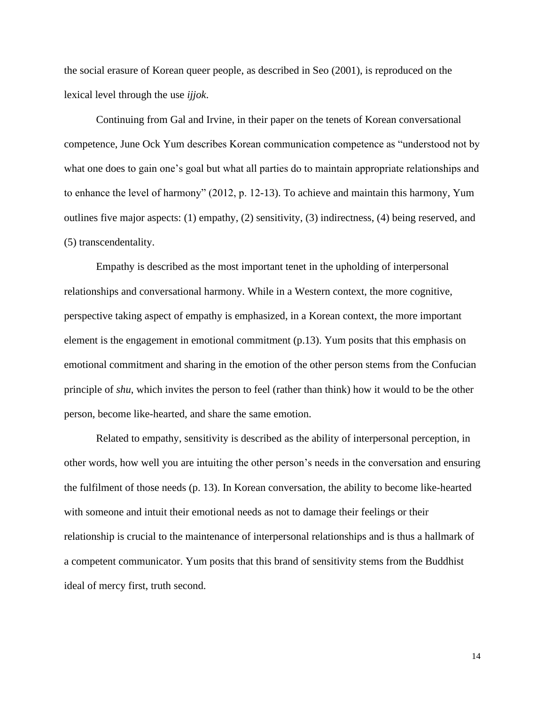the social erasure of Korean queer people, as described in Seo (2001), is reproduced on the lexical level through the use *ijjok*.

Continuing from Gal and Irvine, in their paper on the tenets of Korean conversational competence, June Ock Yum describes Korean communication competence as "understood not by what one does to gain one's goal but what all parties do to maintain appropriate relationships and to enhance the level of harmony" (2012, p. 12-13). To achieve and maintain this harmony, Yum outlines five major aspects: (1) empathy, (2) sensitivity, (3) indirectness, (4) being reserved, and (5) transcendentality.

Empathy is described as the most important tenet in the upholding of interpersonal relationships and conversational harmony. While in a Western context, the more cognitive, perspective taking aspect of empathy is emphasized, in a Korean context, the more important element is the engagement in emotional commitment (p.13). Yum posits that this emphasis on emotional commitment and sharing in the emotion of the other person stems from the Confucian principle of *shu*, which invites the person to feel (rather than think) how it would to be the other person, become like-hearted, and share the same emotion.

Related to empathy, sensitivity is described as the ability of interpersonal perception, in other words, how well you are intuiting the other person's needs in the conversation and ensuring the fulfilment of those needs (p. 13). In Korean conversation, the ability to become like-hearted with someone and intuit their emotional needs as not to damage their feelings or their relationship is crucial to the maintenance of interpersonal relationships and is thus a hallmark of a competent communicator. Yum posits that this brand of sensitivity stems from the Buddhist ideal of mercy first, truth second.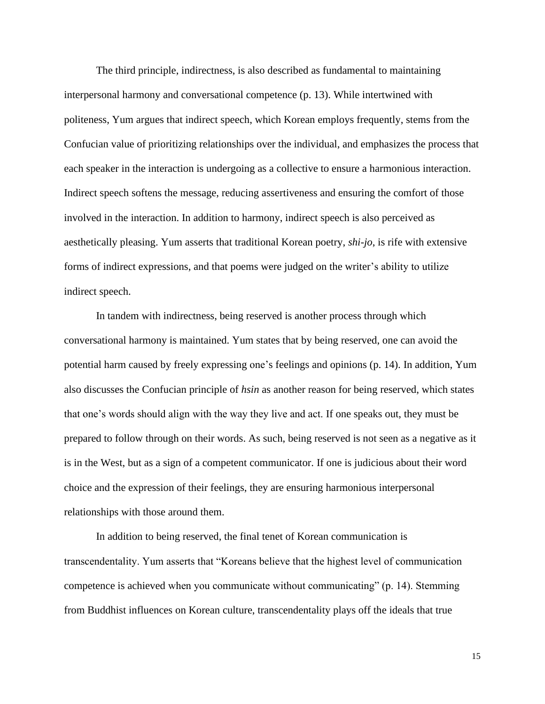The third principle, indirectness, is also described as fundamental to maintaining interpersonal harmony and conversational competence (p. 13). While intertwined with politeness, Yum argues that indirect speech, which Korean employs frequently, stems from the Confucian value of prioritizing relationships over the individual, and emphasizes the process that each speaker in the interaction is undergoing as a collective to ensure a harmonious interaction. Indirect speech softens the message, reducing assertiveness and ensuring the comfort of those involved in the interaction. In addition to harmony, indirect speech is also perceived as aesthetically pleasing. Yum asserts that traditional Korean poetry, *shi-jo*, is rife with extensive forms of indirect expressions, and that poems were judged on the writer's ability to utilize indirect speech.

In tandem with indirectness, being reserved is another process through which conversational harmony is maintained. Yum states that by being reserved, one can avoid the potential harm caused by freely expressing one's feelings and opinions (p. 14). In addition, Yum also discusses the Confucian principle of *hsin* as another reason for being reserved, which states that one's words should align with the way they live and act. If one speaks out, they must be prepared to follow through on their words. As such, being reserved is not seen as a negative as it is in the West, but as a sign of a competent communicator. If one is judicious about their word choice and the expression of their feelings, they are ensuring harmonious interpersonal relationships with those around them.

In addition to being reserved, the final tenet of Korean communication is transcendentality. Yum asserts that "Koreans believe that the highest level of communication competence is achieved when you communicate without communicating" (p. 14). Stemming from Buddhist influences on Korean culture, transcendentality plays off the ideals that true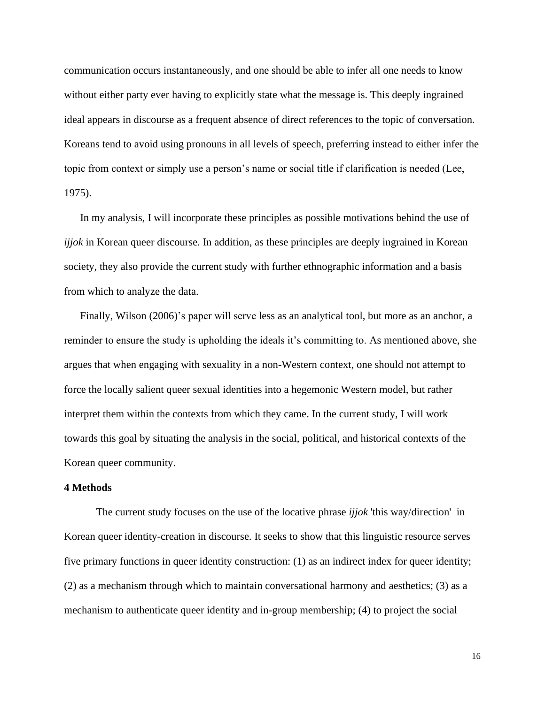communication occurs instantaneously, and one should be able to infer all one needs to know without either party ever having to explicitly state what the message is. This deeply ingrained ideal appears in discourse as a frequent absence of direct references to the topic of conversation. Koreans tend to avoid using pronouns in all levels of speech, preferring instead to either infer the topic from context or simply use a person's name or social title if clarification is needed (Lee, 1975).

In my analysis, I will incorporate these principles as possible motivations behind the use of *ijjok* in Korean queer discourse. In addition, as these principles are deeply ingrained in Korean society, they also provide the current study with further ethnographic information and a basis from which to analyze the data.

Finally, Wilson (2006)'s paper will serve less as an analytical tool, but more as an anchor, a reminder to ensure the study is upholding the ideals it's committing to. As mentioned above, she argues that when engaging with sexuality in a non-Western context, one should not attempt to force the locally salient queer sexual identities into a hegemonic Western model, but rather interpret them within the contexts from which they came. In the current study, I will work towards this goal by situating the analysis in the social, political, and historical contexts of the Korean queer community.

#### **4 Methods**

The current study focuses on the use of the locative phrase *ijjok* 'this way/direction' in Korean queer identity-creation in discourse. It seeks to show that this linguistic resource serves five primary functions in queer identity construction: (1) as an indirect index for queer identity; (2) as a mechanism through which to maintain conversational harmony and aesthetics; (3) as a mechanism to authenticate queer identity and in-group membership; (4) to project the social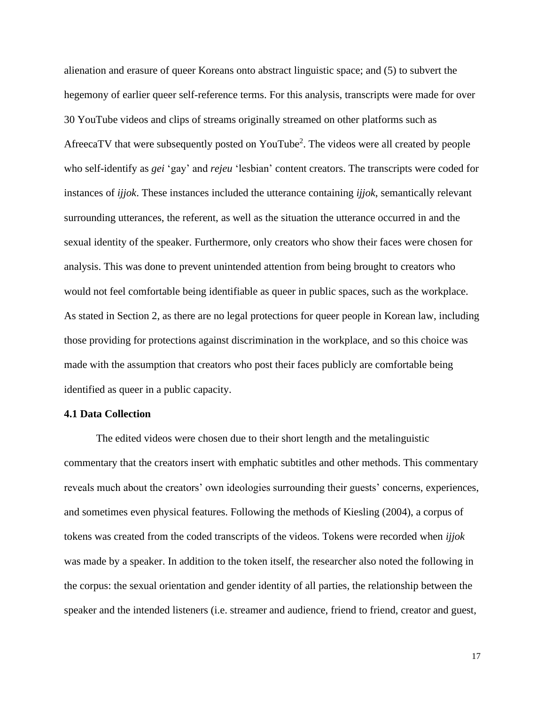alienation and erasure of queer Koreans onto abstract linguistic space; and (5) to subvert the hegemony of earlier queer self-reference terms. For this analysis, transcripts were made for over 30 YouTube videos and clips of streams originally streamed on other platforms such as AfreecaTV that were subsequently posted on YouTube<sup>2</sup>. The videos were all created by people who self-identify as *gei* 'gay' and *rejeu* 'lesbian' content creators. The transcripts were coded for instances of *ijjok*. These instances included the utterance containing *ijjok*, semantically relevant surrounding utterances, the referent, as well as the situation the utterance occurred in and the sexual identity of the speaker. Furthermore, only creators who show their faces were chosen for analysis. This was done to prevent unintended attention from being brought to creators who would not feel comfortable being identifiable as queer in public spaces, such as the workplace. As stated in Section 2, as there are no legal protections for queer people in Korean law, including those providing for protections against discrimination in the workplace, and so this choice was made with the assumption that creators who post their faces publicly are comfortable being identified as queer in a public capacity.

#### **4.1 Data Collection**

The edited videos were chosen due to their short length and the metalinguistic commentary that the creators insert with emphatic subtitles and other methods. This commentary reveals much about the creators' own ideologies surrounding their guests' concerns, experiences, and sometimes even physical features. Following the methods of Kiesling (2004), a corpus of tokens was created from the coded transcripts of the videos. Tokens were recorded when *ijjok* was made by a speaker. In addition to the token itself, the researcher also noted the following in the corpus: the sexual orientation and gender identity of all parties, the relationship between the speaker and the intended listeners (i.e. streamer and audience, friend to friend, creator and guest,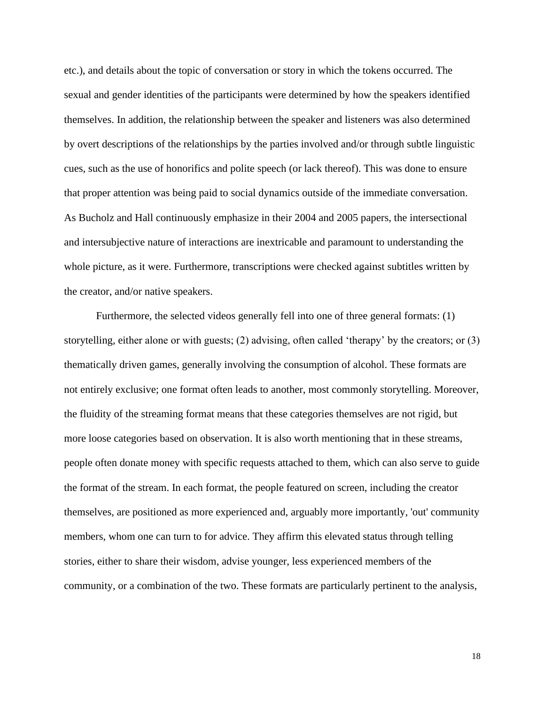etc.), and details about the topic of conversation or story in which the tokens occurred. The sexual and gender identities of the participants were determined by how the speakers identified themselves. In addition, the relationship between the speaker and listeners was also determined by overt descriptions of the relationships by the parties involved and/or through subtle linguistic cues, such as the use of honorifics and polite speech (or lack thereof). This was done to ensure that proper attention was being paid to social dynamics outside of the immediate conversation. As Bucholz and Hall continuously emphasize in their 2004 and 2005 papers, the intersectional and intersubjective nature of interactions are inextricable and paramount to understanding the whole picture, as it were. Furthermore, transcriptions were checked against subtitles written by the creator, and/or native speakers.

Furthermore, the selected videos generally fell into one of three general formats: (1) storytelling, either alone or with guests; (2) advising, often called 'therapy' by the creators; or (3) thematically driven games, generally involving the consumption of alcohol. These formats are not entirely exclusive; one format often leads to another, most commonly storytelling. Moreover, the fluidity of the streaming format means that these categories themselves are not rigid, but more loose categories based on observation. It is also worth mentioning that in these streams, people often donate money with specific requests attached to them, which can also serve to guide the format of the stream. In each format, the people featured on screen, including the creator themselves, are positioned as more experienced and, arguably more importantly, 'out' community members, whom one can turn to for advice. They affirm this elevated status through telling stories, either to share their wisdom, advise younger, less experienced members of the community, or a combination of the two. These formats are particularly pertinent to the analysis,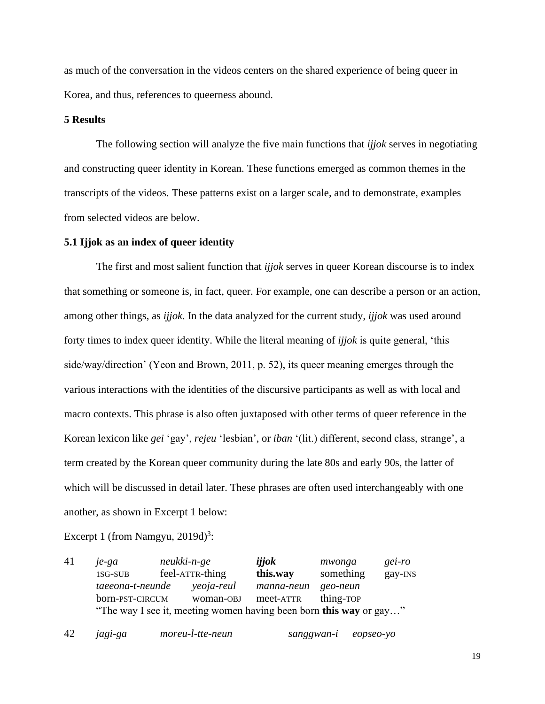as much of the conversation in the videos centers on the shared experience of being queer in Korea, and thus, references to queerness abound.

#### **5 Results**

The following section will analyze the five main functions that *ijjok* serves in negotiating and constructing queer identity in Korean. These functions emerged as common themes in the transcripts of the videos. These patterns exist on a larger scale, and to demonstrate, examples from selected videos are below.

#### **5.1 Ijjok as an index of queer identity**

The first and most salient function that *ijjok* serves in queer Korean discourse is to index that something or someone is, in fact, queer. For example, one can describe a person or an action, among other things, as *ijjok.* In the data analyzed for the current study, *ijjok* was used around forty times to index queer identity. While the literal meaning of *ijjok* is quite general, 'this side/way/direction' (Yeon and Brown, 2011, p. 52), its queer meaning emerges through the various interactions with the identities of the discursive participants as well as with local and macro contexts. This phrase is also often juxtaposed with other terms of queer reference in the Korean lexicon like *gei* 'gay', *rejeu* 'lesbian', or *iban* '(lit.) different, second class, strange', a term created by the Korean queer community during the late 80s and early 90s, the latter of which will be discussed in detail later. These phrases are often used interchangeably with one another, as shown in Excerpt 1 below:

Excerpt 1 (from Namgyu,  $2019d$ )<sup>3</sup>:

41 *je-ga neukki-n-ge ijjok mwonga gei-ro* 1SG-SUB feel-ATTR-thing **this.way** something gay-INS *taeeona-t-neunde yeoja-reul manna-neun geo-neun* born-PST-CIRCUM woman-OBJ meet-ATTR thing-TOP "The way I see it, meeting women having been born **this way** or gay…"

42 *jagi-ga moreu-l-tte-neun sanggwan-i eopseo-yo*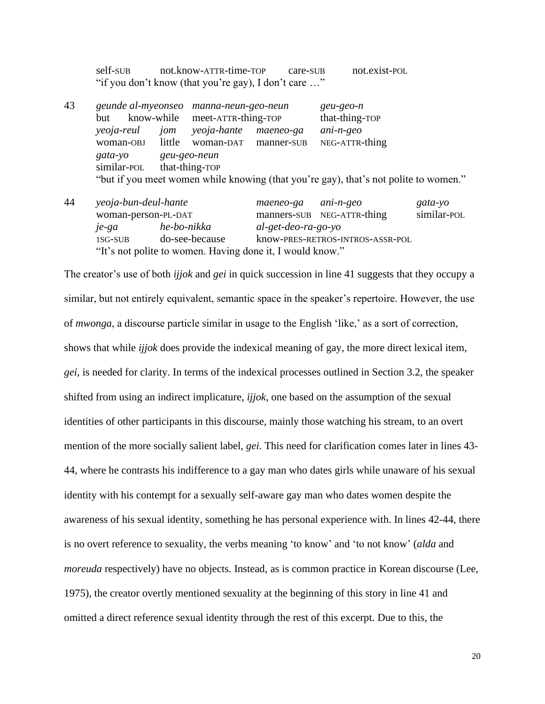self-SUB not.know-ATTR-time-TOP care-SUB not.exist-POL "if you don't know (that you're gay), I don't care …"

43 *geunde al-myeonseo manna-neun-geo-neun geu-geo-n* but know-while meet-ATTR-thing-TOP that-thing-TOP *yeoja-reul jom yeoja-hante maeneo-ga ani-n-geo* woman-OBJ little woman-DAT manner-SUB NEG-ATTR-thing *gata-yo geu-geo-neun* similar-POL that-thing-TOP "but if you meet women while knowing (that you're gay), that's not polite to women."

| 44 | yeoja-bun-deul-hante                        |                                                           | maeneo-ga ani-n-geo   |                                  | gata-yo     |
|----|---------------------------------------------|-----------------------------------------------------------|-----------------------|----------------------------------|-------------|
|    | woman-person-PL-DAT<br>he-bo-nikka<br>je-ga |                                                           |                       | manners-SUB NEG-ATTR-thing       | similar-POL |
|    |                                             |                                                           | $al-get-deo-ra-go-yo$ |                                  |             |
|    | 1SG-SUB                                     | do-see-because                                            |                       | know-PRES-RETROS-INTROS-ASSR-POL |             |
|    |                                             | "It's not polite to women. Having done it, I would know." |                       |                                  |             |

The creator's use of both *ijjok* and *gei* in quick succession in line 41 suggests that they occupy a similar, but not entirely equivalent, semantic space in the speaker's repertoire. However, the use of *mwonga*, a discourse particle similar in usage to the English 'like,' as a sort of correction, shows that while *ijjok* does provide the indexical meaning of gay, the more direct lexical item, *gei*, is needed for clarity. In terms of the indexical processes outlined in Section 3.2, the speaker shifted from using an indirect implicature, *ijjok*, one based on the assumption of the sexual identities of other participants in this discourse, mainly those watching his stream, to an overt mention of the more socially salient label, *gei*. This need for clarification comes later in lines 43- 44, where he contrasts his indifference to a gay man who dates girls while unaware of his sexual identity with his contempt for a sexually self-aware gay man who dates women despite the awareness of his sexual identity, something he has personal experience with. In lines 42-44, there is no overt reference to sexuality, the verbs meaning 'to know' and 'to not know' (*alda* and *moreuda* respectively) have no objects. Instead, as is common practice in Korean discourse (Lee, 1975), the creator overtly mentioned sexuality at the beginning of this story in line 41 and omitted a direct reference sexual identity through the rest of this excerpt. Due to this, the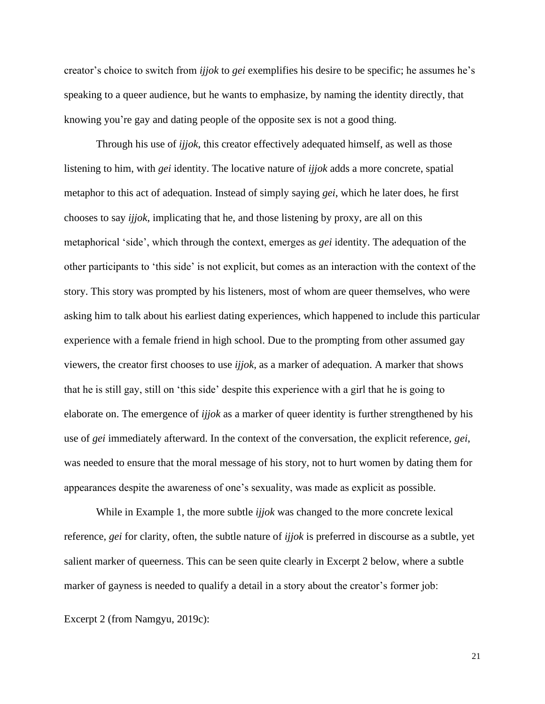creator's choice to switch from *ijjok* to *gei* exemplifies his desire to be specific; he assumes he's speaking to a queer audience, but he wants to emphasize, by naming the identity directly, that knowing you're gay and dating people of the opposite sex is not a good thing.

Through his use of *ijjok*, this creator effectively adequated himself, as well as those listening to him, with *gei* identity. The locative nature of *ijjok* adds a more concrete, spatial metaphor to this act of adequation. Instead of simply saying *gei*, which he later does, he first chooses to say *ijjok*, implicating that he, and those listening by proxy, are all on this metaphorical 'side', which through the context, emerges as *gei* identity. The adequation of the other participants to 'this side' is not explicit, but comes as an interaction with the context of the story. This story was prompted by his listeners, most of whom are queer themselves, who were asking him to talk about his earliest dating experiences, which happened to include this particular experience with a female friend in high school. Due to the prompting from other assumed gay viewers, the creator first chooses to use *ijjok*, as a marker of adequation. A marker that shows that he is still gay, still on 'this side' despite this experience with a girl that he is going to elaborate on. The emergence of *ijjok* as a marker of queer identity is further strengthened by his use of *gei* immediately afterward. In the context of the conversation, the explicit reference, *gei*, was needed to ensure that the moral message of his story, not to hurt women by dating them for appearances despite the awareness of one's sexuality, was made as explicit as possible.

While in Example 1, the more subtle *ijjok* was changed to the more concrete lexical reference, *gei* for clarity, often, the subtle nature of *ijjok* is preferred in discourse as a subtle, yet salient marker of queerness. This can be seen quite clearly in Excerpt 2 below, where a subtle marker of gayness is needed to qualify a detail in a story about the creator's former job:

Excerpt 2 (from Namgyu, 2019c):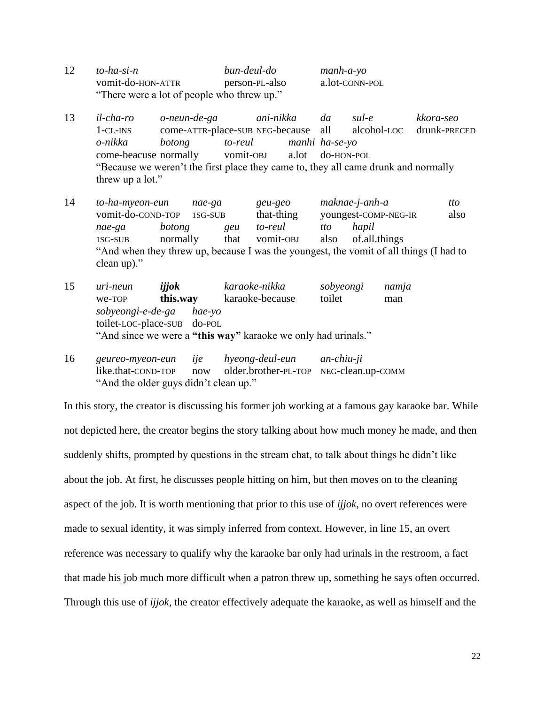- 12 *to-ha-si-n bun-deul-do manh-a-yo* vomit-do-HON-ATTR person-PL-also a.lot-CONN-POL "There were a lot of people who threw up."
- 13 *il-cha-ro o-neun-de-ga ani-nikka da sul-e kkora-seo* 1-CL-INS come-ATTR-place-SUB NEG-because all alcohol-LOC drunk-PRECED *o-nikka botong to-reul manhi ha-se-yo* come-beacuse normally vomit-OBJ a.lot do-HON-POL "Because we weren't the first place they came to, they all came drunk and normally threw up a lot."
- 14 *to-ha-myeon-eun nae-ga geu-geo maknae-j-anh-a tto* vomit-do-COND-TOP 1SG-SUB that-thing youngest-COMP-NEG-IR also *nae-ga botong geu to-reul tto hapil* 1SG-SUB normally that vomit-OBJ also of.all.things "And when they threw up, because I was the youngest, the vomit of all things (I had to clean up)."
- 15 *uri-neun ijjok karaoke-nikka sobyeongi namja* we-TOP **this.way** karaoke-because toilet man *sobyeongi-e-de-ga hae-yo* toilet-LOC-place-SUB do-POL "And since we were a **"this way"** karaoke we only had urinals."
- 16 *geureo-myeon-eun ije hyeong-deul-eun an-chiu-ji* like.that-COND-TOP now older.brother-PL-TOP NEG-clean.up-COMM "And the older guys didn't clean up."

In this story, the creator is discussing his former job working at a famous gay karaoke bar. While not depicted here, the creator begins the story talking about how much money he made, and then suddenly shifts, prompted by questions in the stream chat, to talk about things he didn't like about the job. At first, he discusses people hitting on him, but then moves on to the cleaning aspect of the job. It is worth mentioning that prior to this use of *ijjok*, no overt references were made to sexual identity, it was simply inferred from context. However, in line 15, an overt reference was necessary to qualify why the karaoke bar only had urinals in the restroom, a fact that made his job much more difficult when a patron threw up, something he says often occurred. Through this use of *ijjok*, the creator effectively adequate the karaoke, as well as himself and the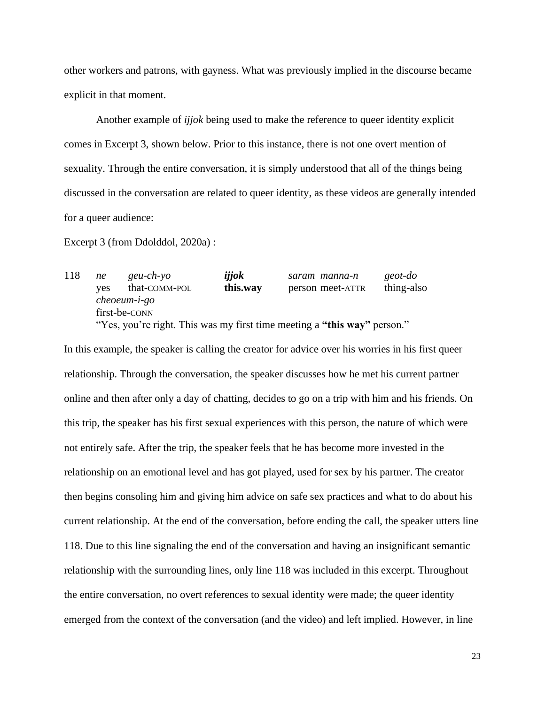other workers and patrons, with gayness. What was previously implied in the discourse became explicit in that moment.

Another example of *ijjok* being used to make the reference to queer identity explicit comes in Excerpt 3, shown below. Prior to this instance, there is not one overt mention of sexuality. Through the entire conversation, it is simply understood that all of the things being discussed in the conversation are related to queer identity, as these videos are generally intended for a queer audience:

Excerpt 3 (from Ddolddol, 2020a) :

118 *ne geu-ch-yo ijjok saram manna-n geot-do* yes that-COMM-POL **this.way** person meet-ATTR thing-also *cheoeum-i-go* first-be-CONN "Yes, you're right. This was my first time meeting a **"this way"** person."

In this example, the speaker is calling the creator for advice over his worries in his first queer relationship. Through the conversation, the speaker discusses how he met his current partner online and then after only a day of chatting, decides to go on a trip with him and his friends. On this trip, the speaker has his first sexual experiences with this person, the nature of which were not entirely safe. After the trip, the speaker feels that he has become more invested in the relationship on an emotional level and has got played, used for sex by his partner. The creator then begins consoling him and giving him advice on safe sex practices and what to do about his current relationship. At the end of the conversation, before ending the call, the speaker utters line 118. Due to this line signaling the end of the conversation and having an insignificant semantic relationship with the surrounding lines, only line 118 was included in this excerpt. Throughout the entire conversation, no overt references to sexual identity were made; the queer identity emerged from the context of the conversation (and the video) and left implied. However, in line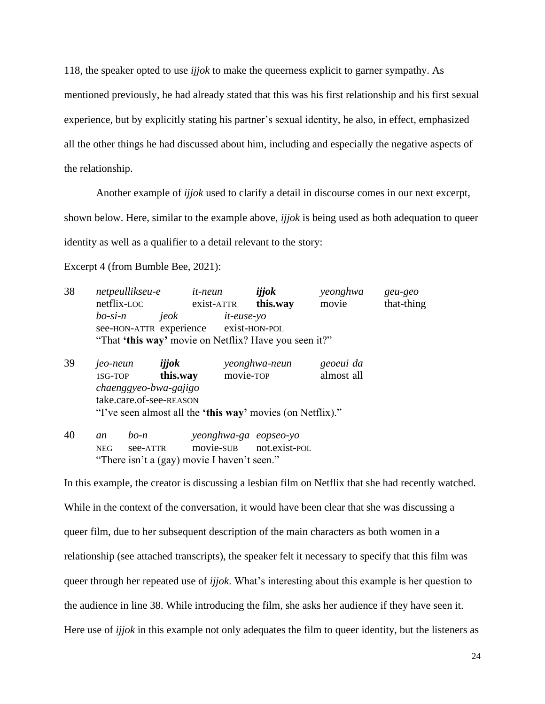118, the speaker opted to use *ijjok* to make the queerness explicit to garner sympathy. As mentioned previously, he had already stated that this was his first relationship and his first sexual experience, but by explicitly stating his partner's sexual identity, he also, in effect, emphasized all the other things he had discussed about him, including and especially the negative aspects of the relationship.

Another example of *ijjok* used to clarify a detail in discourse comes in our next excerpt,

shown below. Here, similar to the example above, *ijjok* is being used as both adequation to queer

identity as well as a qualifier to a detail relevant to the story:

Excerpt 4 (from Bumble Bee, 2021):

- 38 *netpeullikseu-e it-neun ijjok yeonghwa geu-geo* netflix-LOC exist-ATTR **this.way** movie that-thing *bo-si-n jeok it-euse-yo* see-HON-ATTR experience exist-HON-POL "That **'this way'** movie on Netflix? Have you seen it?"
- 39 *jeo-neun ijjok yeonghwa-neun geoeui da* 1SG-TOP **this.way** movie-TOP almost all *chaenggyeo-bwa-gajigo* take.care.of-see-REASON "I've seen almost all the **'this way'** movies (on Netflix)."

40 *an bo-n yeonghwa-ga eopseo-yo* NEG see-ATTR movie-SUB not.exist-POL "There isn't a (gay) movie I haven't seen."

In this example, the creator is discussing a lesbian film on Netflix that she had recently watched. While in the context of the conversation, it would have been clear that she was discussing a queer film, due to her subsequent description of the main characters as both women in a relationship (see attached transcripts), the speaker felt it necessary to specify that this film was queer through her repeated use of *ijjok*. What's interesting about this example is her question to the audience in line 38. While introducing the film, she asks her audience if they have seen it. Here use of *ijjok* in this example not only adequates the film to queer identity, but the listeners as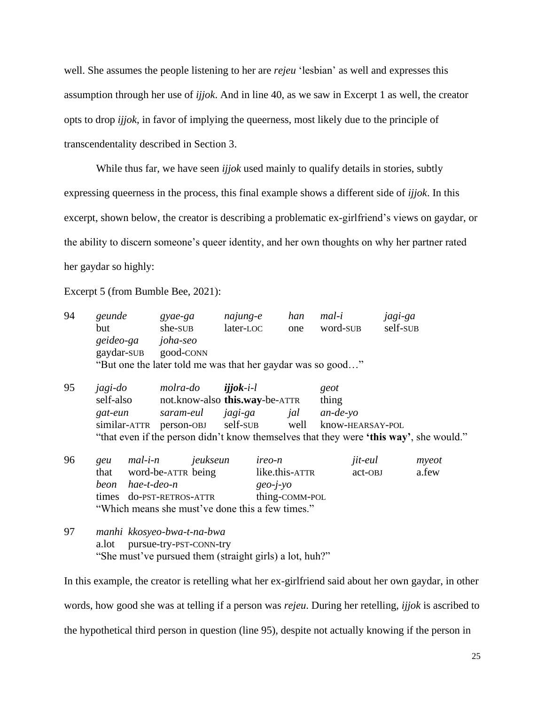well. She assumes the people listening to her are *rejeu* 'lesbian' as well and expresses this assumption through her use of *ijjok*. And in line 40, as we saw in Excerpt 1 as well, the creator opts to drop *ijjok*, in favor of implying the queerness, most likely due to the principle of transcendentality described in Section 3.

While thus far, we have seen *ijjok* used mainly to qualify details in stories, subtly expressing queerness in the process, this final example shows a different side of *ijjok*. In this excerpt, shown below, the creator is describing a problematic ex-girlfriend's views on gaydar, or the ability to discern someone's queer identity, and her own thoughts on why her partner rated her gaydar so highly:

Excerpt 5 (from Bumble Bee, 2021):

| 94 | geunde           | gyae-ga                                                                                | najung-e                               | han            | mal-i    | jagi-ga  |       |  |
|----|------------------|----------------------------------------------------------------------------------------|----------------------------------------|----------------|----------|----------|-------|--|
|    | but              | she-sub                                                                                | later-LOC                              | one            | word-SUB | self-sub |       |  |
|    |                  | geideo-ga joha-seo                                                                     |                                        |                |          |          |       |  |
|    |                  | gaydar-sub good-conn                                                                   |                                        |                |          |          |       |  |
|    |                  | "But one the later told me was that her gaydar was so good"                            |                                        |                |          |          |       |  |
| 95 | jagi-do          |                                                                                        | molra-do <b>ijjok</b> -i-l             |                | geot     |          |       |  |
|    | self-also        |                                                                                        | not.know-also <b>this.way</b> -be-ATTR | thing          |          |          |       |  |
|    | gat-eun          |                                                                                        | saram-eul jagi-ga jal an-de-yo         |                |          |          |       |  |
|    |                  | similar-ATTR person-OBJ self-SUB well know-HEARSAY-POL                                 |                                        |                |          |          |       |  |
|    |                  | "that even if the person didn't know themselves that they were 'this way', she would." |                                        |                |          |          |       |  |
| 96 | geu              | mal-i-n jeukseun                                                                       | <i>ireo-n</i>                          |                | jit-eul  |          | myeot |  |
|    |                  | that word-be-ATTR being                                                                |                                        | like.this-ATTR | act-OBJ  |          | a.few |  |
|    | beon hae-t-deo-n |                                                                                        |                                        | $geo-i-vo$     |          |          |       |  |
|    |                  | times do-PST-RETROS-ATTR                                                               |                                        | thing-COMM-POL |          |          |       |  |
|    |                  | "Which means she must've done this a few times."                                       |                                        |                |          |          |       |  |
|    |                  |                                                                                        |                                        |                |          |          |       |  |

97 *manhi kkosyeo-bwa-t-na-bwa* a.lot pursue-try-PST-CONN-try "She must've pursued them (straight girls) a lot, huh?"

In this example, the creator is retelling what her ex-girlfriend said about her own gaydar, in other words, how good she was at telling if a person was *rejeu*. During her retelling, *ijjok* is ascribed to the hypothetical third person in question (line 95), despite not actually knowing if the person in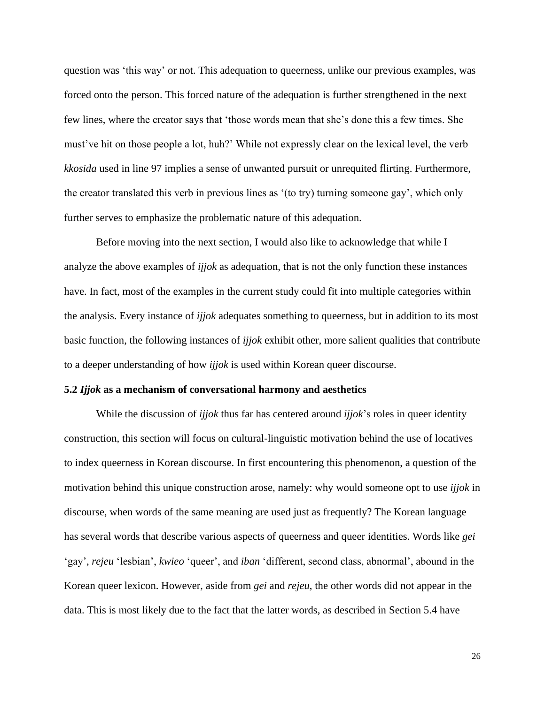question was 'this way' or not. This adequation to queerness, unlike our previous examples, was forced onto the person. This forced nature of the adequation is further strengthened in the next few lines, where the creator says that 'those words mean that she's done this a few times. She must've hit on those people a lot, huh?' While not expressly clear on the lexical level, the verb *kkosida* used in line 97 implies a sense of unwanted pursuit or unrequited flirting. Furthermore, the creator translated this verb in previous lines as '(to try) turning someone gay', which only further serves to emphasize the problematic nature of this adequation.

Before moving into the next section, I would also like to acknowledge that while I analyze the above examples of *ijjok* as adequation, that is not the only function these instances have. In fact, most of the examples in the current study could fit into multiple categories within the analysis. Every instance of *ijjok* adequates something to queerness, but in addition to its most basic function, the following instances of *ijjok* exhibit other, more salient qualities that contribute to a deeper understanding of how *ijjok* is used within Korean queer discourse.

#### **5.2** *Ijjok* **as a mechanism of conversational harmony and aesthetics**

While the discussion of *ijjok* thus far has centered around *ijjok*'s roles in queer identity construction, this section will focus on cultural-linguistic motivation behind the use of locatives to index queerness in Korean discourse. In first encountering this phenomenon, a question of the motivation behind this unique construction arose, namely: why would someone opt to use *ijjok* in discourse, when words of the same meaning are used just as frequently? The Korean language has several words that describe various aspects of queerness and queer identities. Words like *gei* 'gay', *rejeu* 'lesbian', *kwieo* 'queer', and *iban* 'different, second class, abnormal', abound in the Korean queer lexicon. However, aside from *gei* and *rejeu*, the other words did not appear in the data. This is most likely due to the fact that the latter words, as described in Section 5.4 have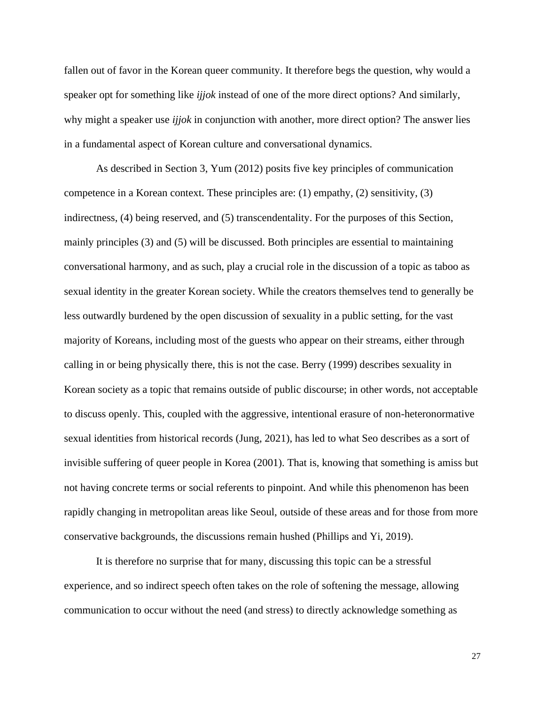fallen out of favor in the Korean queer community. It therefore begs the question, why would a speaker opt for something like *ijjok* instead of one of the more direct options? And similarly, why might a speaker use *ijjok* in conjunction with another, more direct option? The answer lies in a fundamental aspect of Korean culture and conversational dynamics.

As described in Section 3, Yum (2012) posits five key principles of communication competence in a Korean context. These principles are: (1) empathy, (2) sensitivity, (3) indirectness, (4) being reserved, and (5) transcendentality. For the purposes of this Section, mainly principles (3) and (5) will be discussed. Both principles are essential to maintaining conversational harmony, and as such, play a crucial role in the discussion of a topic as taboo as sexual identity in the greater Korean society. While the creators themselves tend to generally be less outwardly burdened by the open discussion of sexuality in a public setting, for the vast majority of Koreans, including most of the guests who appear on their streams, either through calling in or being physically there, this is not the case. Berry (1999) describes sexuality in Korean society as a topic that remains outside of public discourse; in other words, not acceptable to discuss openly. This, coupled with the aggressive, intentional erasure of non-heteronormative sexual identities from historical records (Jung, 2021), has led to what Seo describes as a sort of invisible suffering of queer people in Korea (2001). That is, knowing that something is amiss but not having concrete terms or social referents to pinpoint. And while this phenomenon has been rapidly changing in metropolitan areas like Seoul, outside of these areas and for those from more conservative backgrounds, the discussions remain hushed (Phillips and Yi, 2019).

It is therefore no surprise that for many, discussing this topic can be a stressful experience, and so indirect speech often takes on the role of softening the message, allowing communication to occur without the need (and stress) to directly acknowledge something as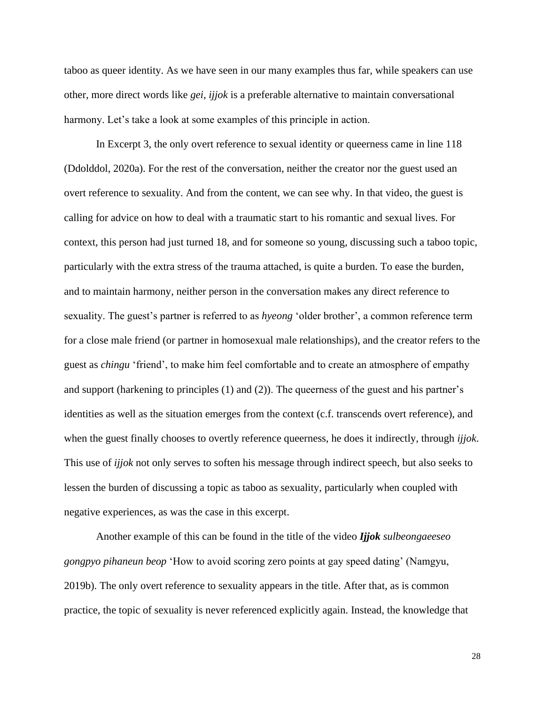taboo as queer identity. As we have seen in our many examples thus far, while speakers can use other, more direct words like *gei*, *ijjok* is a preferable alternative to maintain conversational harmony. Let's take a look at some examples of this principle in action.

In Excerpt 3, the only overt reference to sexual identity or queerness came in line 118 (Ddolddol, 2020a). For the rest of the conversation, neither the creator nor the guest used an overt reference to sexuality. And from the content, we can see why. In that video, the guest is calling for advice on how to deal with a traumatic start to his romantic and sexual lives. For context, this person had just turned 18, and for someone so young, discussing such a taboo topic, particularly with the extra stress of the trauma attached, is quite a burden. To ease the burden, and to maintain harmony, neither person in the conversation makes any direct reference to sexuality. The guest's partner is referred to as *hyeong* 'older brother', a common reference term for a close male friend (or partner in homosexual male relationships), and the creator refers to the guest as *chingu* 'friend', to make him feel comfortable and to create an atmosphere of empathy and support (harkening to principles (1) and (2)). The queerness of the guest and his partner's identities as well as the situation emerges from the context (c.f. transcends overt reference), and when the guest finally chooses to overtly reference queerness, he does it indirectly, through *ijjok*. This use of *ijjok* not only serves to soften his message through indirect speech, but also seeks to lessen the burden of discussing a topic as taboo as sexuality, particularly when coupled with negative experiences, as was the case in this excerpt.

Another example of this can be found in the title of the video *Ijjok sulbeongaeeseo gongpyo pihaneun beop* 'How to avoid scoring zero points at gay speed dating' (Namgyu, 2019b). The only overt reference to sexuality appears in the title. After that, as is common practice, the topic of sexuality is never referenced explicitly again. Instead, the knowledge that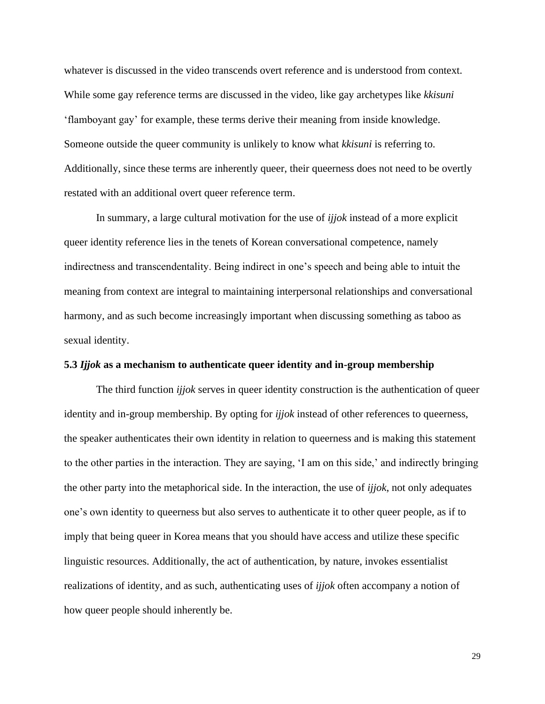whatever is discussed in the video transcends overt reference and is understood from context. While some gay reference terms are discussed in the video, like gay archetypes like *kkisuni* 'flamboyant gay' for example, these terms derive their meaning from inside knowledge. Someone outside the queer community is unlikely to know what *kkisuni* is referring to. Additionally, since these terms are inherently queer, their queerness does not need to be overtly restated with an additional overt queer reference term.

In summary, a large cultural motivation for the use of *ijjok* instead of a more explicit queer identity reference lies in the tenets of Korean conversational competence, namely indirectness and transcendentality. Being indirect in one's speech and being able to intuit the meaning from context are integral to maintaining interpersonal relationships and conversational harmony, and as such become increasingly important when discussing something as taboo as sexual identity.

#### **5.3** *Ijjok* **as a mechanism to authenticate queer identity and in-group membership**

The third function *ijjok* serves in queer identity construction is the authentication of queer identity and in-group membership. By opting for *ijjok* instead of other references to queerness, the speaker authenticates their own identity in relation to queerness and is making this statement to the other parties in the interaction. They are saying, 'I am on this side,' and indirectly bringing the other party into the metaphorical side. In the interaction, the use of *ijjok*, not only adequates one's own identity to queerness but also serves to authenticate it to other queer people, as if to imply that being queer in Korea means that you should have access and utilize these specific linguistic resources. Additionally, the act of authentication, by nature, invokes essentialist realizations of identity, and as such, authenticating uses of *ijjok* often accompany a notion of how queer people should inherently be.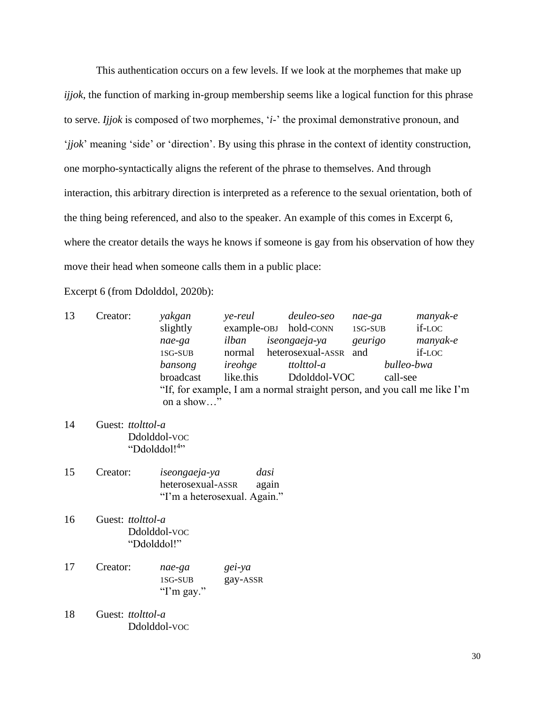This authentication occurs on a few levels. If we look at the morphemes that make up *ijjok*, the function of marking in-group membership seems like a logical function for this phrase to serve. *Ijjok* is composed of two morphemes, '*i*-' the proximal demonstrative pronoun, and '*jjok*' meaning 'side' or 'direction'. By using this phrase in the context of identity construction, one morpho-syntactically aligns the referent of the phrase to themselves. And through interaction, this arbitrary direction is interpreted as a reference to the sexual orientation, both of the thing being referenced, and also to the speaker. An example of this comes in Excerpt 6, where the creator details the ways he knows if someone is gay from his observation of how they move their head when someone calls them in a public place:

Excerpt 6 (from Ddolddol, 2020b):

| 13 | Creator: | yakgan     | ye-reul   | deuleo-seo                                                                | nae-ga  | manyak-e   |
|----|----------|------------|-----------|---------------------------------------------------------------------------|---------|------------|
|    |          | slightly   |           | example-OBJ hold-CONN                                                     | 1SG-SUB | if-LOC     |
|    |          | nae-ga     | ilban     | iseongaeja-ya                                                             | geurigo | manyak-e   |
|    |          | 1SG-SUB    | normal    | heterosexual-ASSR                                                         | and     | if-LOC     |
|    |          | bansong    | ireohge   | ttolttol-a                                                                |         | bulleo-bwa |
|    |          | broadcast  | like.this | Ddolddol-VOC                                                              |         | call-see   |
|    |          | on a show" |           | "If, for example, I am a normal straight person, and you call me like I'm |         |            |

- 14 Guest: *ttolttol-a* Ddolddol-VOC "Ddolddol!<sup>4</sup>"
- 15 Creator: *iseongaeja-ya dasi* heterosexual-ASSR again "I'm a heterosexual. Again."
- 16 Guest: *ttolttol-a* Ddolddol-VOC "Ddolddol!"
- 17 Creator: *nae-ga gei-ya* 1SG-SUB gay-ASSR "I'm gay."
- 18 Guest: *ttolttol-a* Ddolddol-VOC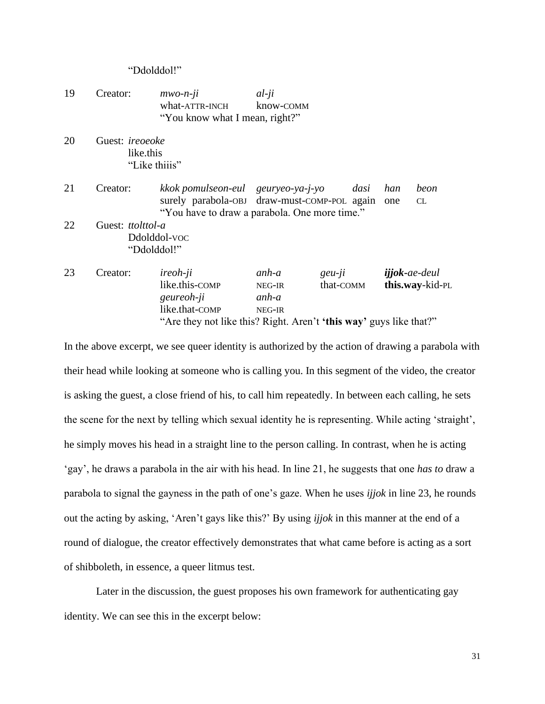#### "Ddolddol!"

- 19 Creator: *mwo-n-ji al-ji* what-ATTR-INCH know-COMM "You know what I mean, right?"
- 20 Guest: *ireoeoke* like.this "Like thiiis"

21 Creator: *kkok pomulseon-eul geuryeo-ya-j-yo dasi han beon* surely parabola-OBJ draw-must-COMP-POL again one CL "You have to draw a parabola. One more time."

- 22 Guest: *ttolttol-a* Ddolddol-VOC "Ddolddol!"
- 23 Creator: *ireoh-ji anh-a geu-ji ijjok***-***ae-deul* like.this-COMP NEG-IR that-COMM **this.way**-kid-PL *geureoh-ji anh-a* like.that-COMP NEG-IR "Are they not like this? Right. Aren't **'this way'** guys like that?"

In the above excerpt, we see queer identity is authorized by the action of drawing a parabola with their head while looking at someone who is calling you. In this segment of the video, the creator is asking the guest, a close friend of his, to call him repeatedly. In between each calling, he sets the scene for the next by telling which sexual identity he is representing. While acting 'straight', he simply moves his head in a straight line to the person calling. In contrast, when he is acting 'gay', he draws a parabola in the air with his head. In line 21, he suggests that one *has to* draw a parabola to signal the gayness in the path of one's gaze. When he uses *ijjok* in line 23, he rounds out the acting by asking, 'Aren't gays like this?' By using *ijjok* in this manner at the end of a round of dialogue, the creator effectively demonstrates that what came before is acting as a sort of shibboleth, in essence, a queer litmus test.

Later in the discussion, the guest proposes his own framework for authenticating gay identity. We can see this in the excerpt below: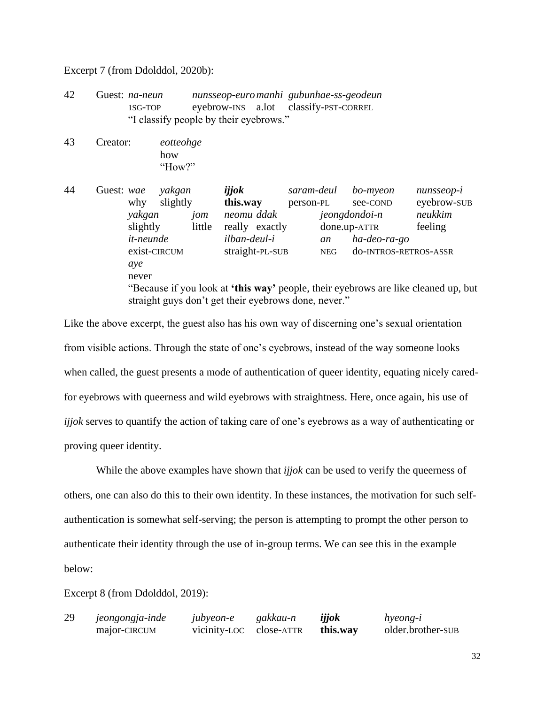Excerpt 7 (from Ddolddol, 2020b):

- 42 Guest: *na-neun nunsseop-euromanhi gubunhae-ss-geodeun* 1SG-TOP eyebrow-INS a.lot classify-PST-CORREL "I classify people by their eyebrows."
- 43 Creator: *eotteohge* how "How?"

44 Guest: *wae yakgan ijjok saram-deul bo-myeon nunsseop-i* why slightly **this.way** person-PL see-COND eyebrow-SUB *yakgan jom neomu ddak jeongdondoi-n neukkim* slightly little really exactly done.up-ATTR feeling *it-neunde ilban-deul-i an ha-deo-ra-go* exist-CIRCUM straight-PL-SUB NEG do-INTROS-RETROS-ASSR *aye* never "Because if you look at **'this way'** people, their eyebrows are like cleaned up, but straight guys don't get their eyebrows done, never."

Like the above excerpt, the guest also has his own way of discerning one's sexual orientation from visible actions. Through the state of one's eyebrows, instead of the way someone looks when called, the guest presents a mode of authentication of queer identity, equating nicely caredfor eyebrows with queerness and wild eyebrows with straightness. Here, once again, his use of *ijjok* serves to quantify the action of taking care of one's eyebrows as a way of authenticating or proving queer identity.

While the above examples have shown that *ijjok* can be used to verify the queerness of others, one can also do this to their own identity. In these instances, the motivation for such selfauthentication is somewhat self-serving; the person is attempting to prompt the other person to authenticate their identity through the use of in-group terms. We can see this in the example below:

Excerpt 8 (from Ddolddol, 2019):

29 *jeongongja-inde jubyeon-e gakkau-n ijjok hyeong-i* major-CIRCUM vicinity-LOC close-ATTR **this.way** older.brother-SUB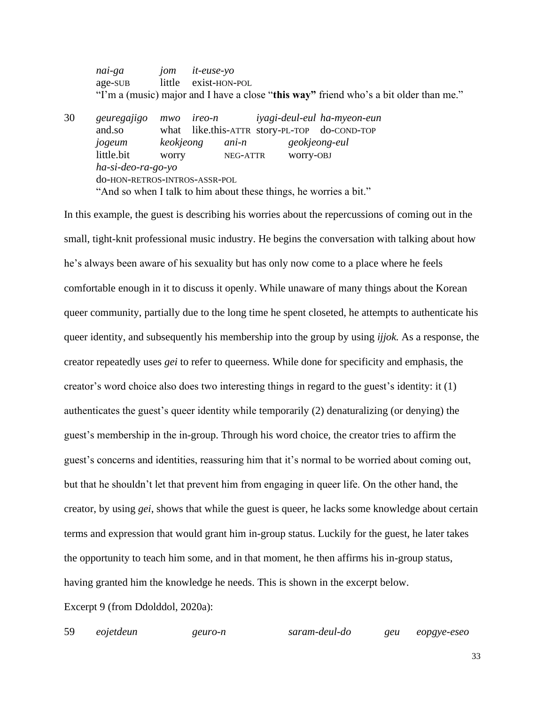*nai-ga jom it-euse-yo* age-SUB little exist-HON-POL "I'm a (music) major and I have a close "**this way"** friend who's a bit older than me."

30 *geuregajigo mwo ireo-n iyagi-deul-eul ha-myeon-eun* and.so what like.this-ATTR story-PL-TOP do-COND-TOP *jogeum keokjeong ani-n geokjeong-eul* little.bit worry NEG-ATTR worry-OBJ *ha-si-deo-ra-go-yo* do-HON-RETROS-INTROS-ASSR-POL "And so when I talk to him about these things, he worries a bit."

In this example, the guest is describing his worries about the repercussions of coming out in the small, tight-knit professional music industry. He begins the conversation with talking about how he's always been aware of his sexuality but has only now come to a place where he feels comfortable enough in it to discuss it openly. While unaware of many things about the Korean queer community, partially due to the long time he spent closeted, he attempts to authenticate his queer identity, and subsequently his membership into the group by using *ijjok.* As a response, the creator repeatedly uses *gei* to refer to queerness. While done for specificity and emphasis, the creator's word choice also does two interesting things in regard to the guest's identity: it (1) authenticates the guest's queer identity while temporarily (2) denaturalizing (or denying) the guest's membership in the in-group. Through his word choice, the creator tries to affirm the guest's concerns and identities, reassuring him that it's normal to be worried about coming out, but that he shouldn't let that prevent him from engaging in queer life. On the other hand, the creator, by using *gei*, shows that while the guest is queer, he lacks some knowledge about certain terms and expression that would grant him in-group status. Luckily for the guest, he later takes the opportunity to teach him some, and in that moment, he then affirms his in-group status, having granted him the knowledge he needs. This is shown in the excerpt below.

Excerpt 9 (from Ddolddol, 2020a):

59 *eojetdeun geuro-n saram-deul-do geu eopgye-eseo*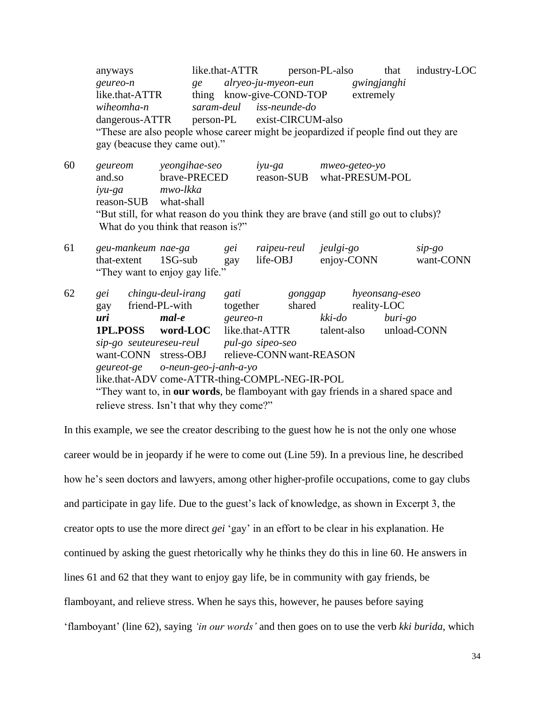anyways like.that-ATTR person-PL-also that industry-LOC *geureo-n ge alryeo-ju-myeon-eun gwingjanghi* like.that-ATTR thing know-give-COND-TOP extremely *wiheomha-n saram-deul iss-neunde-do* dangerous-ATTR person-PL exist-CIRCUM-also "These are also people whose career might be jeopardized if people find out they are gay (beacuse they came out)." 60 *geureom yeongihae-seo iyu-ga mweo-geteo-yo* and.so brave-PRECED reason-SUB what-PRESUM-POL *iyu-ga mwo-lkka* reason-SUB what-shall "But still, for what reason do you think they are brave (and still go out to clubs)? What do you think that reason is?" 61 *geu-mankeum nae-ga gei raipeu-reul jeulgi-go sip-go* that-extent 1SG-sub gay life-OBJ enjoy-CONN want-CONN "They want to enjoy gay life." 62 *gei chingu-deul-irang gati gonggap hyeonsang-eseo* gay friend-PL-with together shared reality-LOC *uri mal-e geureo-n kki-do buri-go* **1PL.POSS word-LOC** like.that-ATTR talent-also unload-CONN *sip-go seuteureseu-reul pul-go sipeo-seo* want-CONN stress-OBJ relieve-CONN want-REASON *geureot-ge o-neun-geo-j-anh-a-yo* like.that-ADV come-ATTR-thing-COMPL-NEG-IR-POL "They want to, in **our words**, be flamboyant with gay friends in a shared space and

relieve stress. Isn't that why they come?"

In this example, we see the creator describing to the guest how he is not the only one whose career would be in jeopardy if he were to come out (Line 59). In a previous line, he described how he's seen doctors and lawyers, among other higher-profile occupations, come to gay clubs and participate in gay life. Due to the guest's lack of knowledge, as shown in Excerpt 3, the creator opts to use the more direct *gei* 'gay' in an effort to be clear in his explanation. He continued by asking the guest rhetorically why he thinks they do this in line 60. He answers in lines 61 and 62 that they want to enjoy gay life, be in community with gay friends, be flamboyant, and relieve stress. When he says this, however, he pauses before saying 'flamboyant' (line 62), saying *'in our words'* and then goes on to use the verb *kki burida*, which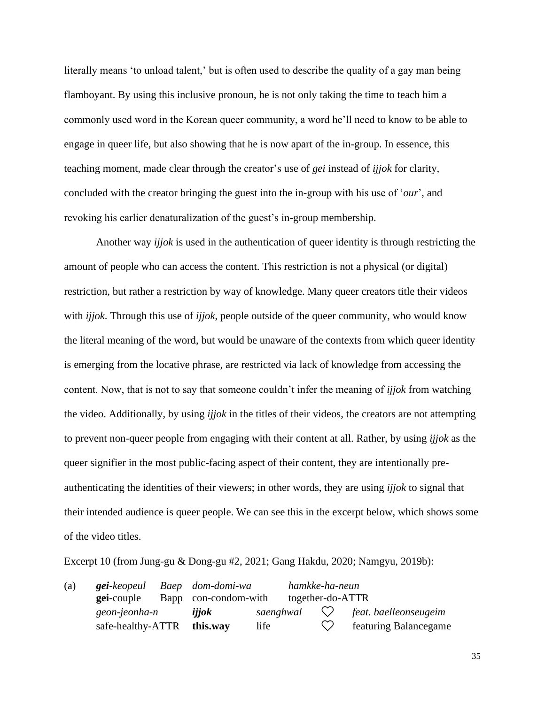literally means 'to unload talent,' but is often used to describe the quality of a gay man being flamboyant. By using this inclusive pronoun, he is not only taking the time to teach him a commonly used word in the Korean queer community, a word he'll need to know to be able to engage in queer life, but also showing that he is now apart of the in-group. In essence, this teaching moment, made clear through the creator's use of *gei* instead of *ijjok* for clarity, concluded with the creator bringing the guest into the in-group with his use of '*our*', and revoking his earlier denaturalization of the guest's in-group membership.

Another way *ijjok* is used in the authentication of queer identity is through restricting the amount of people who can access the content. This restriction is not a physical (or digital) restriction, but rather a restriction by way of knowledge. Many queer creators title their videos with *ijjok*. Through this use of *ijjok*, people outside of the queer community, who would know the literal meaning of the word, but would be unaware of the contexts from which queer identity is emerging from the locative phrase, are restricted via lack of knowledge from accessing the content. Now, that is not to say that someone couldn't infer the meaning of *ijjok* from watching the video. Additionally, by using *ijjok* in the titles of their videos, the creators are not attempting to prevent non-queer people from engaging with their content at all. Rather, by using *ijjok* as the queer signifier in the most public-facing aspect of their content, they are intentionally preauthenticating the identities of their viewers; in other words, they are using *ijjok* to signal that their intended audience is queer people. We can see this in the excerpt below, which shows some of the video titles.

Excerpt 10 (from Jung-gu & Dong-gu #2, 2021; Gang Hakdu, 2020; Namgyu, 2019b):

| (a) | <b>gei</b> -keopeul Baep dom-domi-wa |                      |      | hamkke-ha-neun   |                                             |
|-----|--------------------------------------|----------------------|------|------------------|---------------------------------------------|
|     | <b>gei-couple</b>                    | Bapp con-condom-with |      | together-do-ATTR |                                             |
|     | geon-jeonha-n                        | ijjok                |      |                  | saenghwal $\heartsuit$ feat baelleonseugeim |
|     | safe-healthy-ATTR this.way           |                      | life |                  | $\heartsuit$ featuring Balancegame          |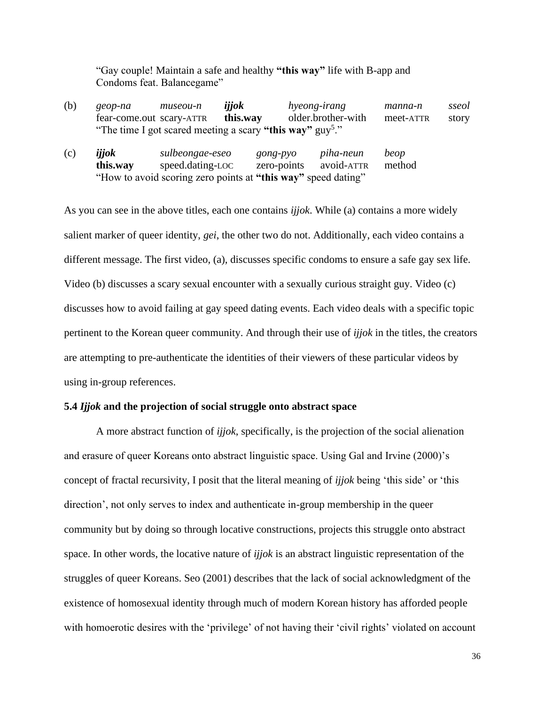"Gay couple! Maintain a safe and healthy **"this way"** life with B-app and Condoms feat. Balancegame"

| (b) | geop-na                  | museou-n | ijjok                                                    | hyeong-irang       | manna-n   | sseol |
|-----|--------------------------|----------|----------------------------------------------------------|--------------------|-----------|-------|
|     | fear-come.out scary-ATTR |          | this.way                                                 | older.brother-with | meet-ATTR | story |
|     |                          |          | "The time I got scared meeting a scary "this way" guy"." |                    |           |       |

| (c) | ijjok    | sulbeongae-eseo                                               | $gong-pyo$             | piha-neun | beop   |
|-----|----------|---------------------------------------------------------------|------------------------|-----------|--------|
|     | this.way | speed.dating-LOC                                              | zero-points avoid-ATTR |           | method |
|     |          | "How to avoid scoring zero points at "this way" speed dating" |                        |           |        |

As you can see in the above titles, each one contains *ijjok*. While (a) contains a more widely salient marker of queer identity, *gei*, the other two do not. Additionally, each video contains a different message. The first video, (a), discusses specific condoms to ensure a safe gay sex life. Video (b) discusses a scary sexual encounter with a sexually curious straight guy. Video (c) discusses how to avoid failing at gay speed dating events. Each video deals with a specific topic pertinent to the Korean queer community. And through their use of *ijjok* in the titles, the creators are attempting to pre-authenticate the identities of their viewers of these particular videos by using in-group references.

#### **5.4** *Ijjok* **and the projection of social struggle onto abstract space**

A more abstract function of *ijjok*, specifically, is the projection of the social alienation and erasure of queer Koreans onto abstract linguistic space. Using Gal and Irvine (2000)'s concept of fractal recursivity, I posit that the literal meaning of *ijjok* being 'this side' or 'this direction', not only serves to index and authenticate in-group membership in the queer community but by doing so through locative constructions, projects this struggle onto abstract space. In other words, the locative nature of *ijjok* is an abstract linguistic representation of the struggles of queer Koreans. Seo (2001) describes that the lack of social acknowledgment of the existence of homosexual identity through much of modern Korean history has afforded people with homoerotic desires with the 'privilege' of not having their 'civil rights' violated on account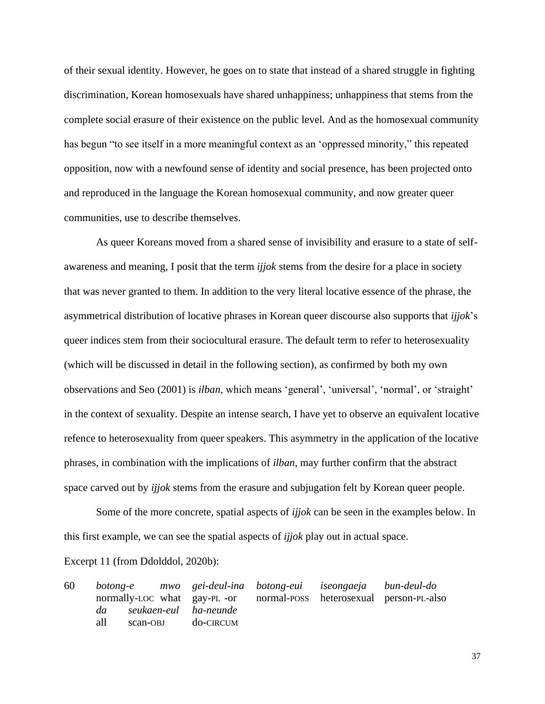of their sexual identity. However, he goes on to state that instead of a shared struggle in fighting discrimination, Korean homosexuals have shared unhappiness; unhappiness that stems from the complete social erasure of their existence on the public level. And as the homosexual community has begun "to see itself in a more meaningful context as an 'oppressed minority," this repeated opposition, now with a newfound sense of identity and social presence, has been projected onto and reproduced in the language the Korean homosexual community, and now greater queer communities, use to describe themselves.

 As queer Koreans moved from a shared sense of invisibility and erasure to a state of selfawareness and meaning, I posit that the term *ijjok* stems from the desire for a place in society that was never granted to them. In addition to the very literal locative essence of the phrase, the asymmetrical distribution of locative phrases in Korean queer discourse also supports that *ijjok*'s queer indices stem from their sociocultural erasure. The default term to refer to heterosexuality (which will be discussed in detail in the following section), as confirmed by both my own observations and Seo (2001) is *ilban*, which means 'general', 'universal', 'normal', or 'straight' in the context of sexuality. Despite an intense search, I have yet to observe an equivalent locative refence to heterosexuality from queer speakers. This asymmetry in the application of the locative phrases, in combination with the implications of *ilban*, may further confirm that the abstract space carved out by *ijjok* stems from the erasure and subjugation felt by Korean queer people.

Some of the more concrete, spatial aspects of *ijjok* can be seen in the examples below. In this first example, we can see the spatial aspects of *ijjok* play out in actual space.

Excerpt 11 (from Ddolddol, 2020b):

60 *botong-e mwo gei-deul-ina botong-eui iseongaeja bun-deul-do* normally-LOC what gay-PL -or normal-POSS heterosexual person-PL-also *da seukaen-eul ha-neunde* all scan-OBJ do-CIRCUM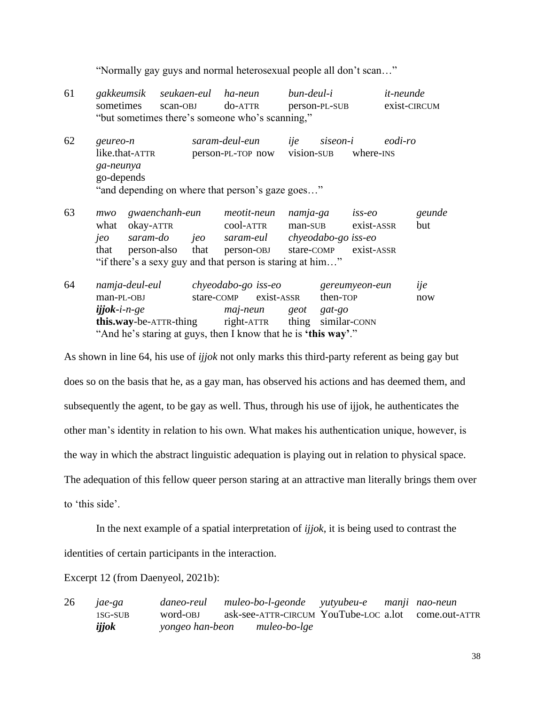"Normally gay guys and normal heterosexual people all don't scan…"

| 61 | gakkeumsik seukaen-eul ha-neun                  |         | bun-deul-i    | it-neunde    |
|----|-------------------------------------------------|---------|---------------|--------------|
|    | sometimes scan-OBJ                              | do-ATTR | person-PL-SUB | exist-CIRCUM |
|    | "but sometimes there's someone who's scanning," |         |               |              |

62 *geureo-n saram-deul-eun ije siseon-i eodi-ro* like.that-ATTR person-PL-TOP now vision-SUB where-INS *ga-neunya* go-depends "and depending on where that person's gaze goes…"

- 63 *mwo gwaenchanh-eun meotit-neun namja-ga iss-eo geunde* what okay-ATTR cool-ATTR man-SUB exist-ASSR but *jeo saram-do jeo saram-eul chyeodabo-go iss-eo* that person-also that person-OBJ stare-COMP exist-ASSR "if there's a sexy guy and that person is staring at him…"
- 64 *namja-deul-eul chyeodabo-go iss-eo gereumyeon-eun ije* man-PL-OBJ stare-COMP exist-ASSR then-TOP now *ijjok***-***i-n-ge maj-neun geot gat-go* **this.way-be-ATTR-thing** right-ATTR thing similar-CONN "And he's staring at guys, then I know that he is **'this way'**."

As shown in line 64, his use of *ijjok* not only marks this third-party referent as being gay but does so on the basis that he, as a gay man, has observed his actions and has deemed them, and subsequently the agent, to be gay as well. Thus, through his use of ijjok, he authenticates the other man's identity in relation to his own. What makes his authentication unique, however, is the way in which the abstract linguistic adequation is playing out in relation to physical space. The adequation of this fellow queer person staring at an attractive man literally brings them over to 'this side'.

In the next example of a spatial interpretation of *ijjok*, it is being used to contrast the identities of certain participants in the interaction.

Excerpt 12 (from Daenyeol, 2021b):

26 *jae-ga daneo-reul muleo-bo-l-geonde yutyubeu-e manji nao-neun* 1SG-SUB word-OBJ ask-see-ATTR-CIRCUM YouTube-LOC a.lot come.out-ATTR *ijjok yongeo han-beon muleo-bo-lge*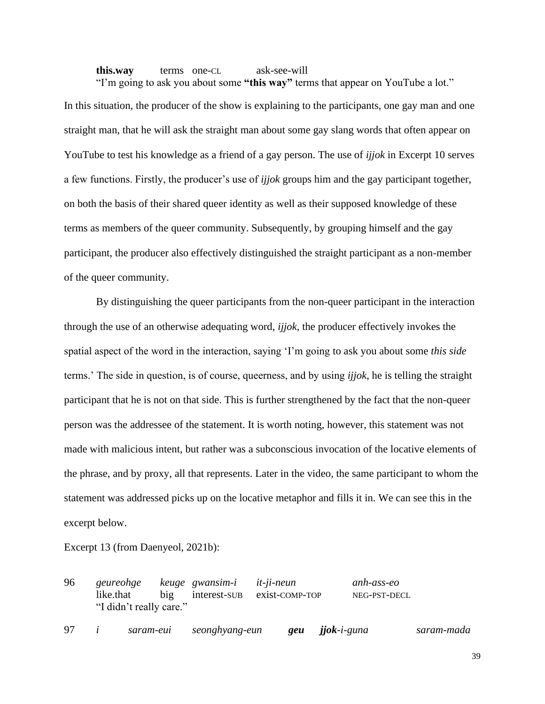**this.way** terms one-CL ask-see-will "I'm going to ask you about some **"this way"** terms that appear on YouTube a lot."

In this situation, the producer of the show is explaining to the participants, one gay man and one straight man, that he will ask the straight man about some gay slang words that often appear on YouTube to test his knowledge as a friend of a gay person. The use of *ijjok* in Excerpt 10 serves a few functions. Firstly, the producer's use of *ijjok* groups him and the gay participant together, on both the basis of their shared queer identity as well as their supposed knowledge of these terms as members of the queer community. Subsequently, by grouping himself and the gay participant, the producer also effectively distinguished the straight participant as a non-member of the queer community.

By distinguishing the queer participants from the non-queer participant in the interaction through the use of an otherwise adequating word, *ijjok*, the producer effectively invokes the spatial aspect of the word in the interaction, saying 'I'm going to ask you about some *this side*  terms.' The side in question, is of course, queerness, and by using *ijjok*, he is telling the straight participant that he is not on that side. This is further strengthened by the fact that the non-queer person was the addressee of the statement. It is worth noting, however, this statement was not made with malicious intent, but rather was a subconscious invocation of the locative elements of the phrase, and by proxy, all that represents. Later in the video, the same participant to whom the statement was addressed picks up on the locative metaphor and fills it in. We can see this in the excerpt below.

Excerpt 13 (from Daenyeol, 2021b):

| 96 | geureohge keuge gwansim-i it-ji-neun |  | like.that big interest-sub exist-comp-top | anh-ass-eo<br>NEG-PST-DECL |
|----|--------------------------------------|--|-------------------------------------------|----------------------------|
|    | "I didn't really care."              |  |                                           |                            |

97 *i saram-eui seonghyang-eun geu jjok-i-guna saram-mada*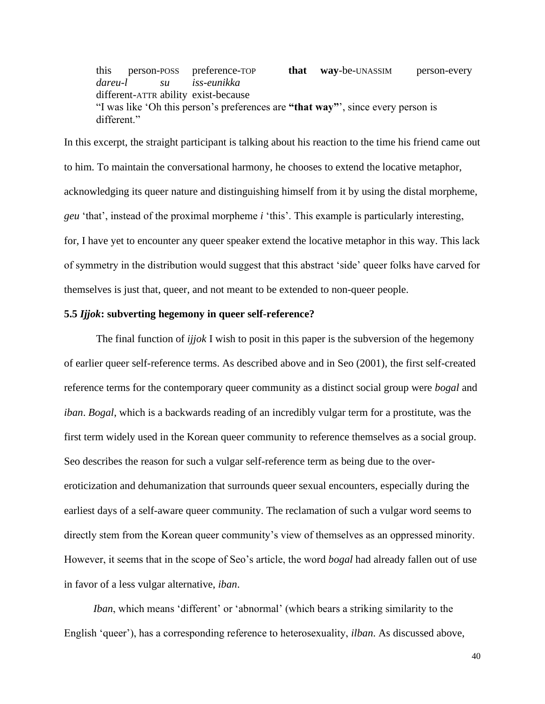this person-POSS preference-TOP **that way**-be-UNASSIM person-every *dareu-l su iss-eunikka* different-ATTR ability exist-because "I was like 'Oh this person's preferences are **"that way"**', since every person is different."

In this excerpt, the straight participant is talking about his reaction to the time his friend came out to him. To maintain the conversational harmony, he chooses to extend the locative metaphor, acknowledging its queer nature and distinguishing himself from it by using the distal morpheme, *geu* 'that', instead of the proximal morpheme *i* 'this'. This example is particularly interesting, for, I have yet to encounter any queer speaker extend the locative metaphor in this way. This lack of symmetry in the distribution would suggest that this abstract 'side' queer folks have carved for themselves is just that, queer, and not meant to be extended to non-queer people.

#### **5.5** *Ijjok***: subverting hegemony in queer self-reference?**

The final function of *ijjok* I wish to posit in this paper is the subversion of the hegemony of earlier queer self-reference terms. As described above and in Seo (2001), the first self-created reference terms for the contemporary queer community as a distinct social group were *bogal* and *iban*. *Bogal*, which is a backwards reading of an incredibly vulgar term for a prostitute, was the first term widely used in the Korean queer community to reference themselves as a social group. Seo describes the reason for such a vulgar self-reference term as being due to the overeroticization and dehumanization that surrounds queer sexual encounters, especially during the earliest days of a self-aware queer community. The reclamation of such a vulgar word seems to directly stem from the Korean queer community's view of themselves as an oppressed minority. However, it seems that in the scope of Seo's article, the word *bogal* had already fallen out of use in favor of a less vulgar alternative, *iban*.

 *Iban*, which means 'different' or 'abnormal' (which bears a striking similarity to the English 'queer'), has a corresponding reference to heterosexuality, *ilban*. As discussed above,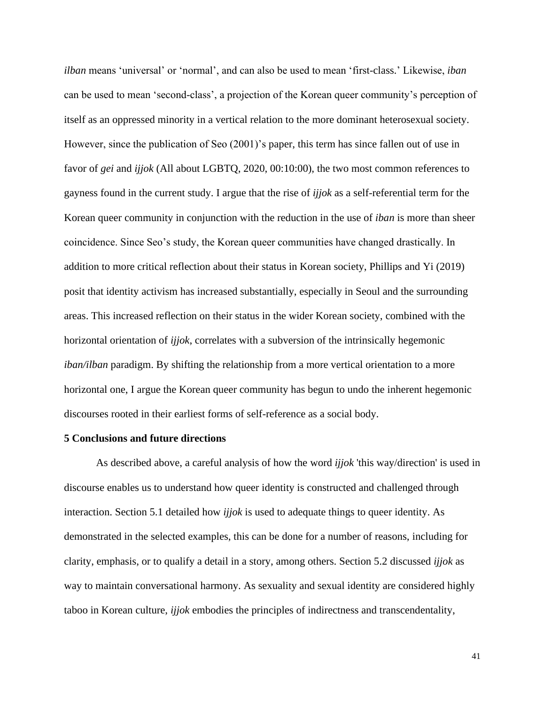*ilban* means 'universal' or 'normal', and can also be used to mean 'first-class.' Likewise, *iban* can be used to mean 'second-class', a projection of the Korean queer community's perception of itself as an oppressed minority in a vertical relation to the more dominant heterosexual society. However, since the publication of Seo (2001)'s paper, this term has since fallen out of use in favor of *gei* and *ijjok* (All about LGBTQ, 2020, 00:10:00), the two most common references to gayness found in the current study. I argue that the rise of *ijjok* as a self-referential term for the Korean queer community in conjunction with the reduction in the use of *iban* is more than sheer coincidence. Since Seo's study, the Korean queer communities have changed drastically. In addition to more critical reflection about their status in Korean society, Phillips and Yi (2019) posit that identity activism has increased substantially, especially in Seoul and the surrounding areas. This increased reflection on their status in the wider Korean society, combined with the horizontal orientation of *ijjok*, correlates with a subversion of the intrinsically hegemonic *iban/ilban* paradigm. By shifting the relationship from a more vertical orientation to a more horizontal one, I argue the Korean queer community has begun to undo the inherent hegemonic discourses rooted in their earliest forms of self-reference as a social body.

#### **5 Conclusions and future directions**

As described above, a careful analysis of how the word *ijjok* 'this way/direction' is used in discourse enables us to understand how queer identity is constructed and challenged through interaction. Section 5.1 detailed how *ijjok* is used to adequate things to queer identity. As demonstrated in the selected examples, this can be done for a number of reasons, including for clarity, emphasis, or to qualify a detail in a story, among others. Section 5.2 discussed *ijjok* as way to maintain conversational harmony. As sexuality and sexual identity are considered highly taboo in Korean culture, *ijjok* embodies the principles of indirectness and transcendentality,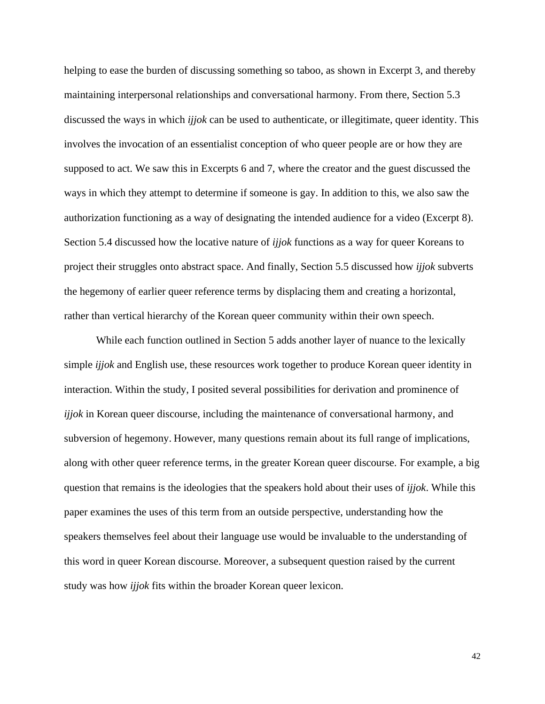helping to ease the burden of discussing something so taboo, as shown in Excerpt 3, and thereby maintaining interpersonal relationships and conversational harmony. From there, Section 5.3 discussed the ways in which *ijjok* can be used to authenticate, or illegitimate, queer identity. This involves the invocation of an essentialist conception of who queer people are or how they are supposed to act. We saw this in Excerpts 6 and 7, where the creator and the guest discussed the ways in which they attempt to determine if someone is gay. In addition to this, we also saw the authorization functioning as a way of designating the intended audience for a video (Excerpt 8). Section 5.4 discussed how the locative nature of *ijjok* functions as a way for queer Koreans to project their struggles onto abstract space. And finally, Section 5.5 discussed how *ijjok* subverts the hegemony of earlier queer reference terms by displacing them and creating a horizontal, rather than vertical hierarchy of the Korean queer community within their own speech.

While each function outlined in Section 5 adds another layer of nuance to the lexically simple *ijjok* and English use, these resources work together to produce Korean queer identity in interaction. Within the study, I posited several possibilities for derivation and prominence of *ijjok* in Korean queer discourse, including the maintenance of conversational harmony, and subversion of hegemony. However, many questions remain about its full range of implications, along with other queer reference terms, in the greater Korean queer discourse. For example, a big question that remains is the ideologies that the speakers hold about their uses of *ijjok*. While this paper examines the uses of this term from an outside perspective, understanding how the speakers themselves feel about their language use would be invaluable to the understanding of this word in queer Korean discourse. Moreover, a subsequent question raised by the current study was how *ijjok* fits within the broader Korean queer lexicon.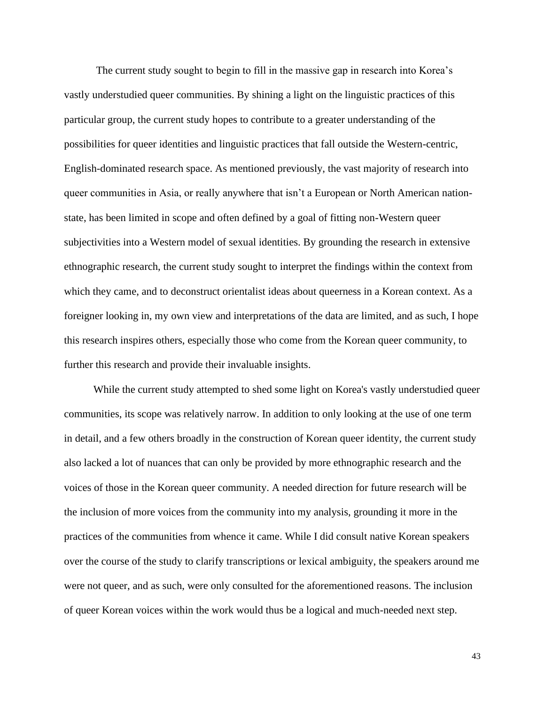The current study sought to begin to fill in the massive gap in research into Korea's vastly understudied queer communities. By shining a light on the linguistic practices of this particular group, the current study hopes to contribute to a greater understanding of the possibilities for queer identities and linguistic practices that fall outside the Western-centric, English-dominated research space. As mentioned previously, the vast majority of research into queer communities in Asia, or really anywhere that isn't a European or North American nationstate, has been limited in scope and often defined by a goal of fitting non-Western queer subjectivities into a Western model of sexual identities. By grounding the research in extensive ethnographic research, the current study sought to interpret the findings within the context from which they came, and to deconstruct orientalist ideas about queerness in a Korean context. As a foreigner looking in, my own view and interpretations of the data are limited, and as such, I hope this research inspires others, especially those who come from the Korean queer community, to further this research and provide their invaluable insights.

 While the current study attempted to shed some light on Korea's vastly understudied queer communities, its scope was relatively narrow. In addition to only looking at the use of one term in detail, and a few others broadly in the construction of Korean queer identity, the current study also lacked a lot of nuances that can only be provided by more ethnographic research and the voices of those in the Korean queer community. A needed direction for future research will be the inclusion of more voices from the community into my analysis, grounding it more in the practices of the communities from whence it came. While I did consult native Korean speakers over the course of the study to clarify transcriptions or lexical ambiguity, the speakers around me were not queer, and as such, were only consulted for the aforementioned reasons. The inclusion of queer Korean voices within the work would thus be a logical and much-needed next step.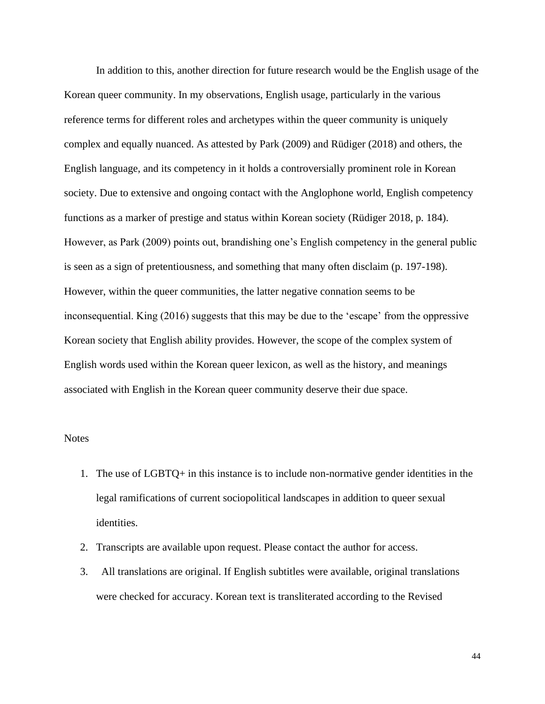In addition to this, another direction for future research would be the English usage of the Korean queer community. In my observations, English usage, particularly in the various reference terms for different roles and archetypes within the queer community is uniquely complex and equally nuanced. As attested by Park (2009) and Rüdiger (2018) and others, the English language, and its competency in it holds a controversially prominent role in Korean society. Due to extensive and ongoing contact with the Anglophone world, English competency functions as a marker of prestige and status within Korean society (Rüdiger 2018, p. 184). However, as Park (2009) points out, brandishing one's English competency in the general public is seen as a sign of pretentiousness, and something that many often disclaim (p. 197-198). However, within the queer communities, the latter negative connation seems to be inconsequential. King (2016) suggests that this may be due to the 'escape' from the oppressive Korean society that English ability provides. However, the scope of the complex system of English words used within the Korean queer lexicon, as well as the history, and meanings associated with English in the Korean queer community deserve their due space.

#### **Notes**

- 1. The use of LGBTQ+ in this instance is to include non-normative gender identities in the legal ramifications of current sociopolitical landscapes in addition to queer sexual identities.
- 2. Transcripts are available upon request. Please contact the author for access.
- 3. All translations are original. If English subtitles were available, original translations were checked for accuracy. Korean text is transliterated according to the Revised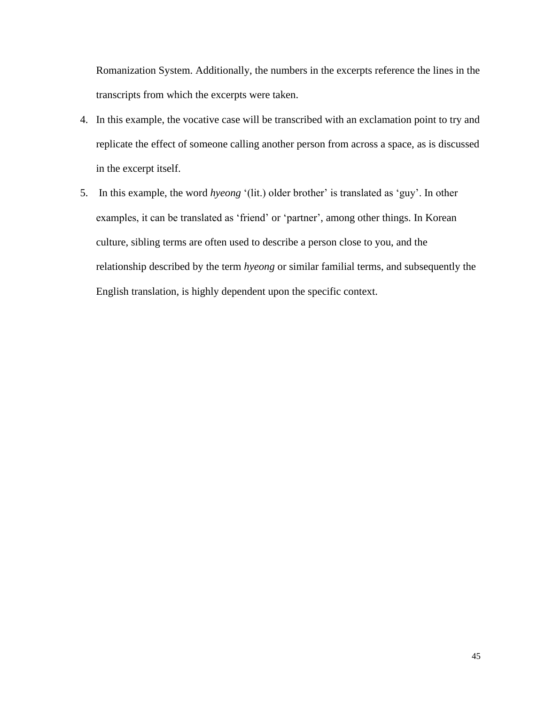Romanization System. Additionally, the numbers in the excerpts reference the lines in the transcripts from which the excerpts were taken.

- 4. In this example, the vocative case will be transcribed with an exclamation point to try and replicate the effect of someone calling another person from across a space, as is discussed in the excerpt itself.
- 5. In this example, the word *hyeong* '(lit.) older brother' is translated as 'guy'. In other examples, it can be translated as 'friend' or 'partner', among other things. In Korean culture, sibling terms are often used to describe a person close to you, and the relationship described by the term *hyeong* or similar familial terms, and subsequently the English translation, is highly dependent upon the specific context.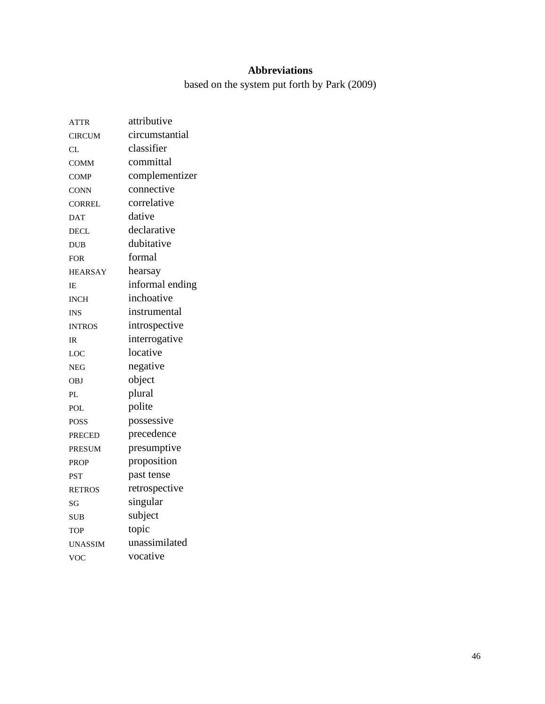### **Abbreviations**

based on the system put forth by Park (2009)

| <b>ATTR</b>    | attributive     |
|----------------|-----------------|
| <b>CIRCUM</b>  | circumstantial  |
| CL             | classifier      |
| <b>COMM</b>    | committal       |
| <b>COMP</b>    | complementizer  |
| <b>CONN</b>    | connective      |
| <b>CORREL</b>  | correlative     |
| <b>DAT</b>     | dative          |
| <b>DECL</b>    | declarative     |
| <b>DUB</b>     | dubitative      |
| <b>FOR</b>     | formal          |
| <b>HEARSAY</b> | hearsay         |
| IE             | informal ending |
| <b>INCH</b>    | inchoative      |
| INS            | instrumental    |
| <b>INTROS</b>  | introspective   |
| IR             | interrogative   |
| LOC            | locative        |
| NEG            | negative        |
| <b>OBJ</b>     | object          |
| PL             | plural          |
| POL            | polite          |
| <b>POSS</b>    | possessive      |
| <b>PRECED</b>  | precedence      |
| <b>PRESUM</b>  | presumptive     |
| <b>PROP</b>    | proposition     |
| <b>PST</b>     | past tense      |
| <b>RETROS</b>  | retrospective   |
| SG             | singular        |
| <b>SUB</b>     | subject         |
| <b>TOP</b>     | topic           |
| <b>UNASSIM</b> | unassimilated   |
| <b>VOC</b>     | vocative        |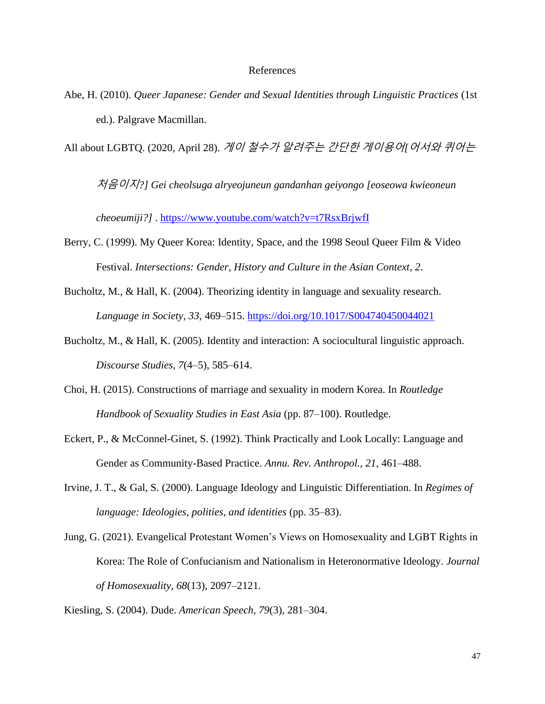#### References

Abe, H. (2010). *Queer Japanese: Gender and Sexual Identities through Linguistic Practices* (1st ed.). Palgrave Macmillan.

All about LGBTQ. (2020, April 28). 게이 철수가 알려주는 간단한 게이용어*[*어서와 퀴어는

처음이지*?] Gei cheolsuga alryeojuneun gandanhan geiyongo [eoseowa kwieoneun* 

*cheoeumiji?]* .<https://www.youtube.com/watch?v=t7RsxBrjwfI>

- Berry, C. (1999). My Queer Korea: Identity, Space, and the 1998 Seoul Queer Film & Video Festival. *Intersections: Gender, History and Culture in the Asian Context*, *2*.
- Bucholtz, M., & Hall, K. (2004). Theorizing identity in language and sexuality research. *Language in Society*, *33*, 469–515.<https://doi.org/10.1017/S004740450044021>
- Bucholtz, M., & Hall, K. (2005). Identity and interaction: A sociocultural linguistic approach. *Discourse Studies*, *7*(4–5), 585–614.
- Choi, H. (2015). Constructions of marriage and sexuality in modern Korea. In *Routledge Handbook of Sexuality Studies in East Asia* (pp. 87–100). Routledge.
- Eckert, P., & McConnel-Ginet, S. (1992). Think Practically and Look Locally: Language and Gender as Community-Based Practice. *Annu. Rev. Anthropol.*, *21*, 461–488.
- Irvine, J. T., & Gal, S. (2000). Language Ideology and Linguistic Differentiation. In *Regimes of language: Ideologies, polities, and identities* (pp. 35–83).
- Jung, G. (2021). Evangelical Protestant Women's Views on Homosexuality and LGBT Rights in Korea: The Role of Confucianism and Nationalism in Heteronormative Ideology. *Journal of Homosexuality*, *68*(13), 2097–2121.

Kiesling, S. (2004). Dude. *American Speech*, *79*(3), 281–304.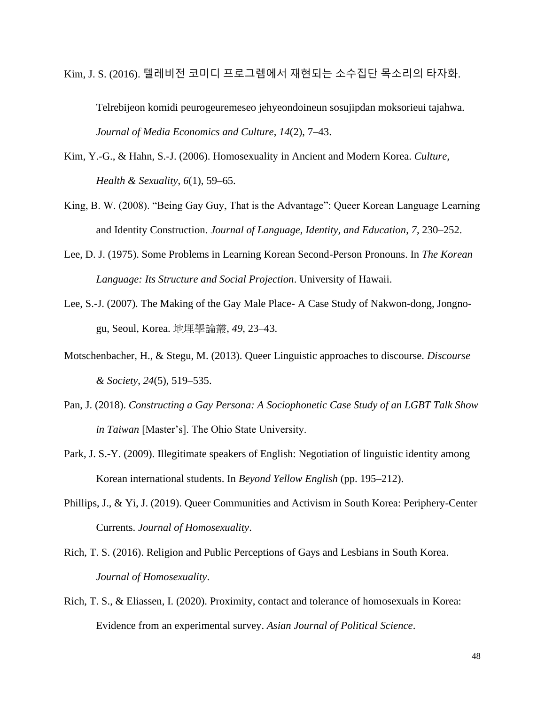Kim, J. S. (2016). 텔레비전 코미디 프로그렘에서 재현되는 소수집단 목소리의 타자화.

Telrebijeon komidi peurogeuremeseo jehyeondoineun sosujipdan moksorieui tajahwa. *Journal of Media Economics and Culture*, *14*(2), 7–43.

- Kim, Y.-G., & Hahn, S.-J. (2006). Homosexuality in Ancient and Modern Korea. *Culture, Health & Sexuality*, *6*(1), 59–65.
- King, B. W. (2008). "Being Gay Guy, That is the Advantage": Queer Korean Language Learning and Identity Construction. *Journal of Language, Identity, and Education*, *7*, 230–252.
- Lee, D. J. (1975). Some Problems in Learning Korean Second-Person Pronouns. In *The Korean Language: Its Structure and Social Projection*. University of Hawaii.
- Lee, S.-J. (2007). The Making of the Gay Male Place- A Case Study of Nakwon-dong, Jongnogu, Seoul, Korea. 地埋學論叢, *49*, 23–43.
- Motschenbacher, H., & Stegu, M. (2013). Queer Linguistic approaches to discourse. *Discourse & Society*, *24*(5), 519–535.
- Pan, J. (2018). *Constructing a Gay Persona: A Sociophonetic Case Study of an LGBT Talk Show in Taiwan* [Master's]. The Ohio State University.
- Park, J. S.-Y. (2009). Illegitimate speakers of English: Negotiation of linguistic identity among Korean international students. In *Beyond Yellow English* (pp. 195–212).
- Phillips, J., & Yi, J. (2019). Queer Communities and Activism in South Korea: Periphery-Center Currents. *Journal of Homosexuality*.
- Rich, T. S. (2016). Religion and Public Perceptions of Gays and Lesbians in South Korea. *Journal of Homosexuality*.
- Rich, T. S., & Eliassen, I. (2020). Proximity, contact and tolerance of homosexuals in Korea: Evidence from an experimental survey. *Asian Journal of Political Science*.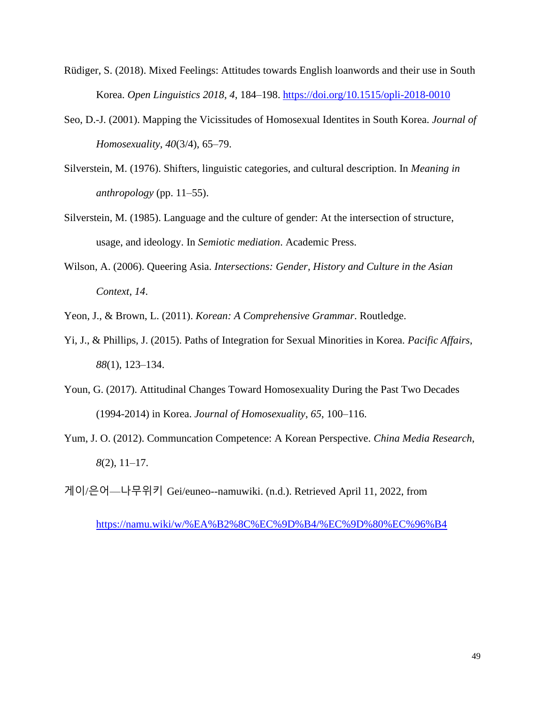- Rüdiger, S. (2018). Mixed Feelings: Attitudes towards English loanwords and their use in South Korea. *Open Linguistics 2018*, *4*, 184–198.<https://doi.org/10.1515/opli-2018-0010>
- Seo, D.-J. (2001). Mapping the Vicissitudes of Homosexual Identites in South Korea. *Journal of Homosexuality*, *40*(3/4), 65–79.
- Silverstein, M. (1976). Shifters, linguistic categories, and cultural description. In *Meaning in anthropology* (pp. 11–55).
- Silverstein, M. (1985). Language and the culture of gender: At the intersection of structure, usage, and ideology. In *Semiotic mediation*. Academic Press.
- Wilson, A. (2006). Queering Asia. *Intersections: Gender, History and Culture in the Asian Context*, *14*.

Yeon, J., & Brown, L. (2011). *Korean: A Comprehensive Grammar*. Routledge.

- Yi, J., & Phillips, J. (2015). Paths of Integration for Sexual Minorities in Korea. *Pacific Affairs*, *88*(1), 123–134.
- Youn, G. (2017). Attitudinal Changes Toward Homosexuality During the Past Two Decades (1994-2014) in Korea. *Journal of Homosexuality*, *65*, 100–116.
- Yum, J. O. (2012). Communcation Competence: A Korean Perspective. *China Media Research*, *8*(2), 11–17.

게이/은어—나무위키 Gei/euneo--namuwiki. (n.d.). Retrieved April 11, 2022, from

<https://namu.wiki/w/%EA%B2%8C%EC%9D%B4/%EC%9D%80%EC%96%B4>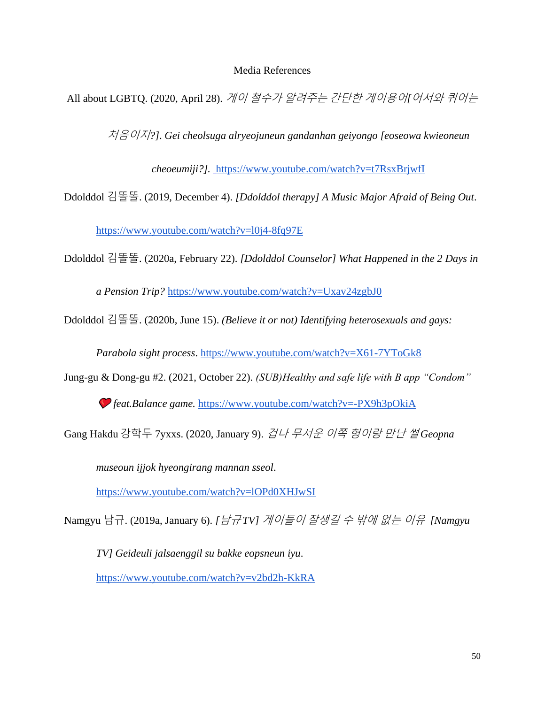#### Media References

All about LGBTQ. (2020, April 28). 게이 철수가 알려주는 간단한 게이용어*[*어서와 퀴어는

처음이지*?]*. *Gei cheolsuga alryeojuneun gandanhan geiyongo [eoseowa kwieoneun* 

*cheoeumiji?].* <https://www.youtube.com/watch?v=t7RsxBrjwfI>

Ddolddol 김똘똘. (2019, December 4). *[Ddolddol therapy] A Music Major Afraid of Being Out*[.](https://www.youtube.com/watch?v=l0j4-8fq97E)

<https://www.youtube.com/watch?v=l0j4-8fq97E>

Ddolddol 김똘똘. (2020a, February 22). *[Ddolddol Counselor] What Happened in the 2 Days in* 

*a Pension Trip?* <https://www.youtube.com/watch?v=Uxav24zgbJ0>

Ddolddol 김똘똘. (2020b, June 15). *(Believe it or not) Identifying heterosexuals and gays:* 

*Parabola sight process*. <https://www.youtube.com/watch?v=X61-7YToGk8>

Jung-gu & Dong-gu #2. (2021, October 22). *(SUB)Healthy and safe life with B app "Condom"* 

*feat.Balance game.* <https://www.youtube.com/watch?v=-PX9h3pOkiA>

Gang Hakdu 강학두 7yxxs. (2020, January 9). 겁나 무서운 이쪽 형이랑 만난 썰 *Geopna* 

*museoun ijjok hyeongirang mannan sseol*[.](https://www.youtube.com/watch?v=lOPd0XHJwSI)

<https://www.youtube.com/watch?v=lOPd0XHJwSI>

Namgyu 남규. (2019a, January 6). *[*남규 *TV]* 게이들이 잘생길 수 밖에 없는 이유 *[Namgyu* 

*TV] Geideuli jalsaenggil su bakke eopsneun iyu*[.](https://www.youtube.com/watch?v=v2bd2h-KkRA) <https://www.youtube.com/watch?v=v2bd2h-KkRA>